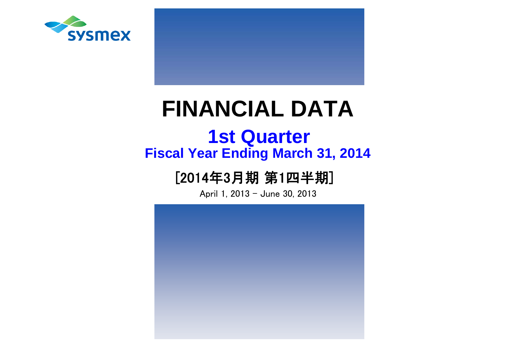



# **Fiscal Year Ending March 31, 2014 1st Quarter**

# [2014年3月期 第1四半期]

April 1, 2013 - June 30, 2013

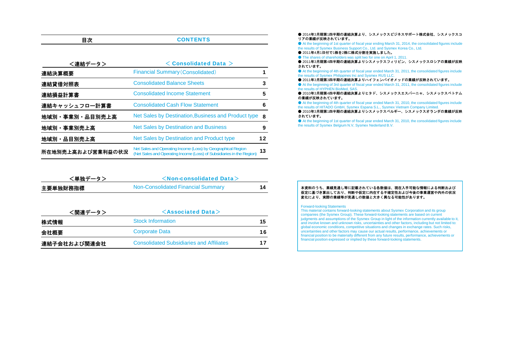| 目次                | <b>CONTENTS</b>                                                                                                                       |    |
|-------------------|---------------------------------------------------------------------------------------------------------------------------------------|----|
| <連結データ>           | $<$ Consolidated Data $>$                                                                                                             |    |
| 連結決算概要            | <b>Financial Summary (Consolidated)</b>                                                                                               | 1  |
| 連結貸借対照表           | <b>Consolidated Balance Sheets</b>                                                                                                    | 3  |
| 連結損益計算書           | <b>Consolidated Income Statement</b>                                                                                                  | 5  |
| 連結キャッシュフロ一計算書     | <b>Consolidated Cash Flow Statement</b>                                                                                               | 6  |
| 地域別・事業別・品目別売上高    | Net Sales by Destination, Business and Product type                                                                                   | -8 |
| 地域別・事業別売上高        | <b>Net Sales by Destination and Business</b>                                                                                          | 9  |
| 地域別・品目別売上高        | Net Sales by Destination and Product type                                                                                             | 12 |
| 所在地別売上高および営業利益の状況 | Net Sales and Operating Income (Loss) by Geographical Region<br>(Net Sales and Operating Income (Loss) of Subsidiaries in the Region) | 13 |

| <単独データ>  | $\le$ Non-consolidated Data $>$    |  |
|----------|------------------------------------|--|
| 主要単独財務指標 | Non-Consolidated Financial Summary |  |

| <関連データ>      | $\leq$ Associated Data $>$                      |     |
|--------------|-------------------------------------------------|-----|
| 株式情報         | <b>Stock Information</b>                        | 15. |
| 会社概要         | <b>Corporate Data</b>                           | 16  |
| 連結子会社および関連会社 | <b>Consolidated Subsidiaries and Affiliates</b> | 17  |

#### ● 2014年3月期第1四半期の連結決算より、シスメックスビジネスサポート株式会社、シスメックスコ リアの業績が反映されています。

 ● At the beginning of 1st quarter of fiscal year ending March 31, 2014, the consolidated figures include the results of Sysmex Business Support Co., Ltd. and Sysmex Korea Co., Ltd.

● 2011年4月1日付で1株を2株に株式分割を実施しました。

● The shares of shareholders was split two for one on April 1, 2011.

● 2011年3月期第4四半期の連結決算よりシスメックスフィリピン、シスメックスロシアの業績が反映 されています。

 ● At the beginning of 4th quarter of fiscal year ended March 31, 2011, the consolidated figures include the results of Sysmex Philippines Inc and Sysmex RUS LLC.

● 2011年3月期第3四半期の連結決算よりハイフェンバイオメッドの業績が反映されています。 ● At the beginning of 3rd quarter of fiscal year ended March 31, 2011, the consolidated figures include the results of HYPHEN BioMed, SAS.

● 2010年3月期第4四半期の連結決算よりヒタド、シスメックスエスパーニャ、シスメックスベトナム の業績が反映されています。

 ● At the beginning of 4th quarter of fiscal year ended March 31, 2010, the consolidated figures include the results of HITADO GmbH, Sysmex Espana S.L., Sysmex Vietnam Company Limited.

● 2010年3月期第1四半期の連結決算よりシスメックスベルギー、シスメックスオランダの業績が反映 されています。

● At the beginning of 1st quarter of fiscal year ended March 31, 2010, the consolidated figures include the results of Sysmex Belgium N.V, Sysmex Nederland B.V.

#### 本資料のうち、業績見通し等に記載されている各数値は、現在入手可能な情報による判断および 仮定に基づき算出しており、判断や仮定に内在する不確定性および今後の事業運営や内外の状況変化により、実際の業績等が見通しの数値と大きく異なる可能性があります。

#### Forward-looking Statements

This material contains forward-looking statements about Sysmex Corporation and its group companies (the Sysmex Group). These forward-looking statements are based on current judgments and assumptions of the Sysmex Group in light of the information currently available to it, and involve known and unknown risks, uncertainties and other factors, including but not limited to: global economic conditions, competitive situations and changes in exchange rates. Such risks, uncertainties and other factors may cause our actual results, performance, achievements or financial position to be materially different from any future results, performance, achievements or financial position expressed or implied by these forward-looking statements.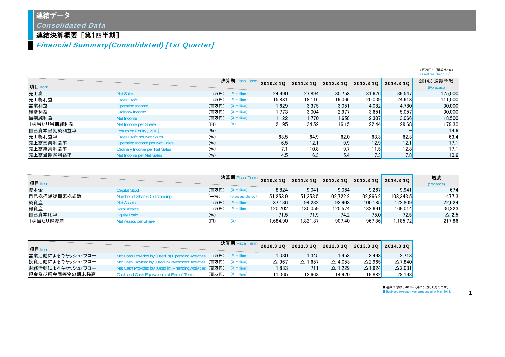## 連結データ

Consolidated Data

## 連結決算概要[第1四半期]

Financial Summary(Consolidated) [1st Quarter]

|            |                                       |       |                                  |           |           |           |           |              | (百万円) (構成比:%)<br>$(*)$ million) $(Ratio: %)$ |
|------------|---------------------------------------|-------|----------------------------------|-----------|-----------|-----------|-----------|--------------|----------------------------------------------|
| 項目 Item    |                                       |       | 決算期 Fiscal Term                  | 2010.3 10 | 2011.3 10 | 2012.3 10 | 2013.3 10 | 2014.3 10    | 2014.3 通期予想<br>(Forecast)                    |
| 売上高        | <b>Net Sales</b>                      |       | $($ 百万円 $)$ (\ $\angle$ million) | 24.990    | 27.894    | 30.758    | 31.676    | 39.547       | 175,000                                      |
| 売上総利益      | <b>Gross Profit</b>                   | (百万円) | $(*$ million)                    | 15.881    | 18.116    | 19.066    | 20.039    | 24.618       | 111,000                                      |
| 営業利益       | Operating Income                      |       | $($ 百万円 $)$ (\ $\angle$ million) | 1.629     | 3,375     | 3.051     | 4,082     | 4.780        | 30,000                                       |
| 経常利益       | Ordinary Income                       | (百万円) | $(*$ million)                    | 1.773     | 3.004     | 2.977     | 3.651     | 5.057        | 30,000                                       |
| 当期純利益      | Net Income                            | (百万円) | $(4$ million)                    | 1,122     | 1.770     | 1.658     | 2.307     | 3.066        | 18.500                                       |
| 1株当たり当期純利益 | Net Income per Share                  | (H)   | $(\yen)$                         | 21.95     | 34.52     | 16.15     | 22.44     | <b>29.68</b> | 179.30                                       |
| 自己資本当期純利益率 | Return on Equity [ROE]                | (96)  |                                  |           |           |           |           |              | 14.6                                         |
| 売上総利益率     | <b>Gross Profit per Net Sales</b>     | (96)  |                                  | 63.5      | 64.9      | 62.0      | 63.3      | 62.3         | 63.4                                         |
| 売上高営業利益率   | <b>Operating Income per Net Sales</b> | (96)  |                                  | 6.5       | 12.1      | 9.9       | 12.9      | 12.1         | 17.1                                         |
| 売上高経常利益率   | Ordinary Income per Net Sales         | (96)  |                                  | 7.1       | 10.8      | 9.7       | 11.5      | 12.8         | 17.1                                         |
| 売上高当期純利益率  | Net Income per Net Sales              | (96)  |                                  | 4.5       | 6.3       | 5.4       | 7.3       | 7.8          | 10.6                                         |

|             |                                     | 決算期 Fiscal |                         | 2010.3 10 | 2011.3 1Q | 2012.3 1Q | 2013.3 10 | 2014.3 10 | 増減              |
|-------------|-------------------------------------|------------|-------------------------|-----------|-----------|-----------|-----------|-----------|-----------------|
| 項目 Item     |                                     |            |                         |           |           |           |           |           | (Variance)      |
| 資本金         | <b>Capital Stock</b>                | (百万円)      | $(\frac{1}{2})$ million | 8.824     | 9.041     | 9.064     | 9.267     | 9.941     | 674             |
| 自己株控除後期末株式数 | <b>Number of Shares Outstanding</b> | (千株)       | (thousand shares)       | 51.253.9  | 51.353.5  | 102.722.2 | 102.866.2 | 103.343.5 | 477.3           |
| 純資産         | <b>Net Assets</b>                   | (百万円)      | $(\frac{2}{3})$ million | 87.136    | 94.232    | 93.908    | 100.185   | 122,809   | 22.624          |
| 総資産         | <b>Total Assets</b>                 | (百万円)      | $(\frac{4}{3})$ million | 120.702   | 130.059   | 125.574   | 132.691   | 169.014   | 36.323          |
| 自己資本比率      | <b>Equity Ratio</b>                 | (96)       |                         | 71.5      | 71.9      | 74.2      | 75.0      | 72.5      | $\triangle$ 2.5 |
| 1株当たり純資産    | Net Assets per Share                | (円)        |                         | .684.90   | .821.37   | 907.40    | 967.86    | .185.72   | 217.86          |

| 項目 Item          |                                                                                  |                   | 決算期Fi |                   |            |                   | 2010.3 1Q 2011.3 1Q 2012.3 1Q 2013.3 1Q 2014.3 1Q |                |
|------------------|----------------------------------------------------------------------------------|-------------------|-------|-------------------|------------|-------------------|---------------------------------------------------|----------------|
| 営業活動によるキャッシュ・フロー | Net Cash Provided by (Used in) Operating Activities (百万円) $(*)$ million)         |                   |       | .030 <sub>1</sub> | .345       | .453              | 3.493                                             | 2.713          |
| 投資活動によるキャッシュ・フロー | Net Cash Provided by (Used in) Investment Activities (百万円) $(4 \text{ million})$ |                   |       | $\triangle$ 967   | 1.657<br>Δ | $\triangle$ 4.053 | $\Delta$ 2.965                                    | $\Delta$ 7.840 |
| 財務活動によるキャッシュ・フロー | Net Cash Provided by (Used in) Financing Activities (百万円) $(4 \text{ million})$  |                   |       | .833              | 711        | $\triangle$ 1.229 | $\triangle$ 1.924                                 | $\Delta$ 2.031 |
| 現金及び現金同等物の期末残高   | Cash and Cash Equivalents at End of Term                                         | (百万円) (¥ million) |       | 11.365            | 13.663     | 14.920            | 19.882                                            | 28.193         |

●通期予想は、2013年5月に公表したものです。

●Business forecast was announced in May 2013. 1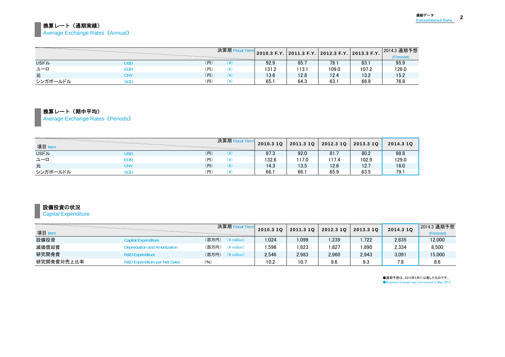### 換算レート(通期実績) **Average Exchange Rates (Annual)**

|              |     |     | 決算期Fi |       | │ 2010.3 F.Y. │ 2011.3 F.Y. │ 2012.3 F.Y. │ 2013.3 F.Y. │ |       |       | 2014.3 通期予想<br>(Forecast) |
|--------------|-----|-----|-------|-------|-----------------------------------------------------------|-------|-------|---------------------------|
| <b>USFIL</b> | JSD | (H) | ¥)    | 92.9  | 85.7                                                      | 79.7  | 83.   | 95.9                      |
| ユーロ          | eur | (円) | ¥)    | 131.2 | 113.1                                                     | 109.0 | 107.2 | 126.0                     |
| 元            | CNY | (円) | ¥)    | 13.6  | 12.8                                                      | 12.4  | 13.2  | 15.2                      |
| シンガポールドル     | SGD | (円) | ¥     | 65.1  | 64.3                                                      | 63.   | 66.9  | 76.8                      |

#### 換算レート(期中平均)

Average Exchange Rates (Periods)

| 項目 Item      | <u> Andrew Hermann and Britain and Britain and Britain and Britain and Britain and Britain and Britain and Britain and Britain and Britain and Britain and Britain and Britain and Britain and Britain and Britain and Britain a</u> |     | 決算期 Fiscal Term | 2010.3 10 | 2011.3 1Q | 2012.3 1Q | 2013.3 1Q | 2014.3 10 |
|--------------|--------------------------------------------------------------------------------------------------------------------------------------------------------------------------------------------------------------------------------------|-----|-----------------|-----------|-----------|-----------|-----------|-----------|
| <b>USFIL</b> | USD                                                                                                                                                                                                                                  | (円) | ¥)              | 97.3      | 92.0      | 81.       | 80.2      | 98.8      |
| ユーロ          | eur                                                                                                                                                                                                                                  | (円) | ¥)              | 132.6     | 117.0     | 117.4     | 102.9     | 129.0     |
| 元            | CNY                                                                                                                                                                                                                                  | (H) | (¥)             | 14.3      | 13.5      | 12.6      | 12.7      | 16.0      |
| シンガポールドル     | SGD                                                                                                                                                                                                                                  | (円) | ¥)              | 66.1      | 66.1      | 65.9      | 63.5      | 79.1      |

## 設備投資の状況

### **Capital Expenditure**

| 項目 Item    |                               | 決算期 Fiscal Term                  | 2010.3 1Q | 2011.3 10 | 2012.3 10 | 2013.3 10 | 2014.3 10 | 2014.3 通期予想<br>(Forecast) |
|------------|-------------------------------|----------------------------------|-----------|-----------|-----------|-----------|-----------|---------------------------|
| 設備投資       | <b>Capital Expenditure</b>    | (百万円)<br>$(*$ million)           | 1.024     | ,099      | .239      | .722      | 2,835     | 12,000                    |
| 減価償却費      | Depreciation and Amortization | (百万円)<br>$(\frac{1}{2})$ million | .596      | .823      | ,827      | 1,890     | 2,334     | 8,500                     |
| 研究開発費      | <b>R&amp;D Expenditure</b>    | (百万円)<br>$(\frac{2}{3})$ million | 2.546     | 2,983     | 2,960     | 2.943     | 3.091     | 15,000                    |
| 研究開発費対売上比率 | R&D Expenditure per Net Sales | (96)                             | 10.2      | 10.7      | 9.6       | 9.3       | 7.8       | 8.6                       |

●通期予想は、2013年5月に公表したものです。 ●Business forecast was announced in May 2013.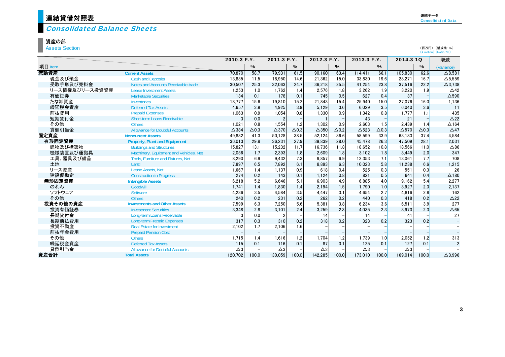# <mark>)連結貸借対照表</mark>

#### Consolidated Balance Sheets

#### 資産の部

Assets Section

|                |                                           | 2010.3 F.Y.     |              | 2011.3 F.Y.     |              | 2012.3 F.Y.     |              |               | 2013.3 F.Y.     | 2014.3 10     |              | 増減              |
|----------------|-------------------------------------------|-----------------|--------------|-----------------|--------------|-----------------|--------------|---------------|-----------------|---------------|--------------|-----------------|
| 項目 Item        |                                           |                 | %            |                 | $\%$         |                 | $\%$         |               | $\%$            |               | %            | (Variance)      |
| 流動資産           | <b>Current Assets</b>                     | 70,870          | 58.7         | 79.931          | 61.5         | 90.160          | 63.4         | 114.411       | 66.1            | 105.830       | 62.6         | $\Delta$ 8,581  |
| 現金及び預金         | <b>Cash and Deposits</b>                  | 13,835          | 11.5         | 18,950          | 14.6         | 21,362          | 15.0         | 33,830        | 19.6            | 28,271        | 16.7         | $\Delta$ 5,559  |
| 受取手形及び売掛金      | Notes and Accounts Receivable-trade       | 30,507          | 25.3         | 32.063          | 24.7         | 36,218          | 25.5         | 41,254        | 23.8            | 37,516        | 22.2         | $\Delta$ 3,738  |
| リース債権及びリース投資資産 | <b>Lease Investment Assets</b>            | 1,253           | 1.0          | 1.762           | 1.4          | 2,576           | 1.8          | 3,262         | 1.9             | 3,220         | 1.9          | $\triangle$ 42  |
| 有価証券           | <b>Marketable Securities</b>              | 134             | 0.1          | 178             | 0.1          | 745             | 0.5          | 627           | 0.4             | 37            |              | $\Delta$ 590    |
| たな卸資産          | <b>Inventories</b>                        | 18.777          | 15.6         | 19.810          | 15.2         | 21.843          | 15.4         | 25.940        | 15.0            | 27.076        | 16.0         | 1,136           |
| 繰延税金資産         | <b>Deferred Tax Assets</b>                | 4.657           | 3.9          | 4.925           | 3.8          | 5.129           | 3.6          | 6.029         | 3.5             | 6.040         | 3.6          | 11              |
| 前払費用           | <b>Prepaid Expenses</b>                   | 1,063           | 0.9          | 1.054           | 0.8          | 1,330           | 0.9          | 1.342         | 0.8             | 1.777         | 1.1          | 435             |
| 短期貸付金          | <b>Short-term Loans Receivable</b>        | 3               | 0.0          | $\overline{2}$  |              |                 |              | 43            |                 | 21            |              | $\triangle$ 22  |
| その他            | <b>Others</b>                             | 1,021           | 0.8          | 1.554           | 1.2          | 1.302           | 0.9          | 2,603         | 1.5             | 2,439         | 1.4          | $\triangle$ 164 |
| 貸倒引当金          | <b>Allowance for Doubtful Accounts</b>    | $\triangle$ 384 | $\Delta$ 0.3 | $\triangle$ 370 | $\Delta$ 0.3 | $\triangle$ 350 | $\Delta$ 0.2 | $\Delta$ 523  | $\triangle$ 0.3 | $\Delta$ 570  | $\Delta$ 0.3 | $\triangle$ 47  |
| 固定資産           | <b>Noncurrent Assets</b>                  | 49,832          | 41.3         | 50.128          | 38.5         | 52,124          | 36.6         | 58,599        | 33.9            | 63.183        | 37.4         | 4,584           |
| 有形固定資産         | <b>Property, Plant and Equipment</b>      | 36,013          | 29.8         | 36.231          | 27.9         | 39.839          | 28.0         | 45.478        | 26.3            | 47.509        | 28.1         | 2,031           |
| 建物及び構築物        | <b>Buildings and Structures</b>           | 15,827          | 13.1         | 15,232          | 11.7         | 16,736          | 11.8         | 18,652        | 10.8            | 18,566        | 11.0         | $\triangle 86$  |
| 機械装置及び運搬具      | Machinery, Equipment and Vehicles, Net    | 2,056           | 1.7          | 2,393           | 1.8          | 2,609           | 1.8          | 3,102         | 1.8             | 3.449         | 2.0          | 347             |
| 工具、器具及び備品      | <b>Tools. Furniture and Fixtures. Net</b> | 8,290           | 6.9          | 9,432           | 7.3          | 9.857           | 6.9          | 12,353        | 7.1             | 13.061        | 7.7          | 708             |
| 土地             | Land                                      | 7.897           | 6.5          | 7.892           | 6.1          | 8,893           | 6.3          | 10.023        | 5.8             | 11.238        | 6.6          | 1,215           |
| リース資産          | Lease Assets, Net                         | 1,667           | 1.4          | 1.137           | 0.9          | 618             | 0.4          | 525           | 0.3             | 551           | 0.3          | 26              |
| 建設仮勘定          | <b>Construction in Progress</b>           | 274             | 0.2          | 143             | 0.1          | 1,124           | 0.8          | 821           | 0.5             | 641           | 0.4          | $\Delta$ 180    |
| 無形固定資産         | <b>Intangible Assets</b>                  | 6,218           | 5.2          | 6.646           | 5.1          | 6,903           | 4.9          | 6.885         | 4.0             | 9.162         | 5.4          | 2,277           |
| のれん            | Goodwill                                  | 1,741           | 1.4          | 1.830           | 1.4          | 2.194           | 1.5          | 1.790         | 1.0             | 3,927         | 2.3          | 2,137           |
| ソフトウェア         | Software                                  | 4,236           | 3.5          | 4,584           | 3.5          | 4,447           | 3.1          | 4,654         | 2.7             | 4,816         | 2.8          | 162             |
| その他            | <b>Others</b>                             | 240             | 0.2          | 231             | 0.2          | 262             | 0.2          | 440           | 0.3             | 418           | 0.2          | $\triangle$ 22  |
| 投資その他の資産       | <b>Investments and Other Assets</b>       | 7,599           | 6.3          | 7.250           | 5.6          | 5.381           | 3.8          | 6.234         | 3.6             | 6.511         | 3.9          | 277             |
| 投資有価証券         | <b>Investment Securities</b>              | 3,348           | 2.8          | 3.101           | 2.4          | 3,259           | 2.3          | 4.035         | 2.3             | 3.970         | 2.3          | $\Delta65$      |
| 長期貸付金          | Long-term Loans Receivable                | 3               | 0.0          |                 |              | 14              |              | 14            |                 | 41            |              | 27              |
| 長期前払費用         | <b>Long-term Prepaid Expenses</b>         | 317             | 0.3          | 310             | 0.2          | 318             | 0.2          | 323           | 0.2             | 323           | 0.2          | $\equiv$        |
| 投資不動産          | <b>Real Estate for Investment</b>         | 2,102           | 1.7          | 2,106           | 1.6          |                 |              |               |                 |               |              |                 |
| 前払年金費用         | <b>Prepaid Pension Cost</b>               |                 |              |                 |              |                 |              |               |                 |               |              | $\equiv$        |
| その他            | <b>Others</b>                             | 1,715           | 1.4          | 1,616           | 1.2          | 1,704           | 1.2          | 1,739         | 1.0             | 2,052         | 1.2          | 313             |
| 繰延税金資産         | <b>Deferred Tax Assets</b>                | 115             | 0.1          | 116             | 0.1          | 87              | 0.1          | 125           | 0.1             | 127           | 0.1          | $\overline{2}$  |
| 貸倒引当金          | <b>Allowance for Doubtful Accounts</b>    | $\triangle 3$   |              | $\triangle 3$   |              | $\triangle 3$   |              | $\triangle 3$ |                 | $\triangle 3$ |              |                 |
| 資産合計           | <b>Total Assets</b>                       | 120,702         | 100.0        | 130.059         | 100.0        | 142,285         | 100.0        | 173,010       | 100.0           | 169.014       | 100.0        | $\Delta$ 3.996  |

(百万円) (構成比:%) (\ million) (Ratio:%)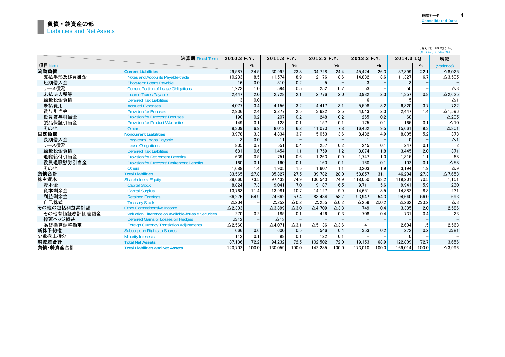|              |                                                       |                 |       |                   |                 |                 |                 |                 |              |              |              | (百万円) (構成比:%)<br>$(4$ million) $(Ratio: 96)$ |
|--------------|-------------------------------------------------------|-----------------|-------|-------------------|-----------------|-----------------|-----------------|-----------------|--------------|--------------|--------------|----------------------------------------------|
|              | 決算期 Fiscal Term                                       | 2010.3 F.Y.     |       | 2011.3 F.Y.       |                 | 2012.3 F.Y.     |                 | 2013.3 F.Y.     |              | 2014.3 1Q    |              | 増減                                           |
| 項目 Item      |                                                       |                 | $\%$  |                   | $\%$            |                 | %               |                 | $\%$         |              | $\%$         | (Variance)                                   |
| 流動負債         | <b>Current Liabilities</b>                            | 29,587          | 24.5  | 30.992            | 23.8            | 34.728          | 24.4            | 45.424          | 26.3         | 37.399       | 22.1         | $\triangle$ 8.025                            |
| 支払手形及び買掛金    | Notes and Accounts Payable-trade                      | 10,233          | 8.5   | 11.574            | 8.9             | 12.176          | 8.6             | 14,832          | 8.6          | 11.327       | 6.7          | $\Delta$ 3,505                               |
| 短期借入金        | <b>Short-term Loans Payable</b>                       | 16              | 0.0   | 310               | 0.2             | 5               |                 | 3               |              | 3            |              |                                              |
| リース債務        | <b>Current Portion of Lease Obligations</b>           | 1,223           | 1.0   | 594               | 0.5             | 252             | 0.2             | 53              |              | 50           |              | $\triangle 3$                                |
| 未払法人税等       | <b>Income Taxes Payable</b>                           | 2,447           | 2.0   | 2,728             | 2.1             | 2,776           | 2.0             | 3,982           | 2.3          | 1,357        | 0.8          | $\Delta$ 2,625                               |
| 繰延税金負債       | <b>Deferred Tax Liabilities</b>                       |                 | 0.0   |                   |                 |                 |                 |                 |              |              |              | $\Delta$ 1                                   |
| 未払費用         | <b>Accrued Expenses</b>                               | 4,077           | 3.4   | 4.156             | 3.2             | 4.417           | 3.1             | 5.598           | 3.2          | 6.320        | 3.7          | 722                                          |
| 賞与引当金        | <b>Provision for Bonuses</b>                          | 2,936           | 2.4   | 3.277             | 2.5             | 3.622           | 2.5             | 4.043           | 2.3          | 2.447        | 1.4          | $\Delta$ 1.596                               |
| 役員賞与引当金      | <b>Provision for Directors' Bonuses</b>               | 190             | 0.2   | 207               | 0.2             | 248             | 0.2             | 265             | 0.2          | 60           |              | $\triangle$ 205                              |
| 製品保証引当金      | <b>Provision for Product Warranties</b>               | 149             | 0.1   | 128               | 0.1             | 157             | 0.1             | 175             | 0.1          | 165          | 0.1          | $\Delta$ 10                                  |
| その他          | <b>Others</b>                                         | 8,309           | 6.9   | 8.013             | 6.2             | 11.070          | 7.8             | 16.462          | 9.5          | 15.661       | 9.3          | $\Delta$ 801                                 |
| 固定負債         | <b>Noncurrent Liabilities</b>                         | 3,978           | 3.3   | 4.834             | 3.7             | 5.053           | 3.6             | 8.432           | 4.9          | 8.805        | 5.2          | 373                                          |
| 長期借入金        | Long-term Loans Payable                               | 3               | 0.0   | 11                |                 |                 |                 |                 |              | $\Omega$     |              | $\Delta$ 1                                   |
| リース債務        | <b>Lease Obligations</b>                              | 805             | 0.7   | 551               | 0.4             | 257             | 0.2             | 245             | 0.1          | 247          | 0.1          | 2                                            |
| 繰延税金負債       | <b>Deferred Tax Liabilities</b>                       | 681             | 0.6   | 1.454             | 1.1             | 1.759           | 1.2             | 3.074           | 1.8          | 3,445        | 2.0          | 371                                          |
| 退職給付引当金      | <b>Provision for Retirement Benefits</b>              | 639             | 0.5   | 751               | 0.6             | 1,263           | 0.9             | 1.747           | 1.0          | 1.815        | 1.1          | 68                                           |
| 役員退職慰労引当金    | <b>Provision for Directors' Retirement Benefits</b>   | 160             | 0.1   | 160               | 0.1             | 160             | 0.1             | 160             | 0.1          | 102          | 0.1          | $\triangle$ 58                               |
| その他          | <b>Others</b>                                         | 1,688           | 1.4   | 1.905             | 1.5             | 1.607           | 1.1             | 3.203           | 1.9          | 3.194        | 1.9          | $\triangle$ 9                                |
| 負債合計         | <b>Total Liabilities</b>                              | 33,565          | 27.8  | 35,827            | 27.5            | 39,782          | 28.0            | 53,857          | 31.1         | 46,204       | 27.3         | $\Delta$ 7,653                               |
| 株主資本         | <b>Shareholders' Equity</b>                           | 88,660          | 73.5  | 97.433            | 74.9            | 106,543         | 74.9            | 118.050         | 68.2         | 119,201      | 70.5         | 1,151                                        |
| 資本金          | <b>Capital Stock</b>                                  | 8,824           | 7.3   | 9.041             | 7.0             | 9,187           | 6.5             | 9.711           | 5.6          | 9.941        | 5.9          | 230                                          |
| 資本剰余金        | <b>Capital Surplus</b>                                | 13,763          | 11.4  | 13.981            | 10.7            | 14.127          | 9.9             | 14.651          | 8.5          | 14.882       | 8.8          | 231                                          |
| 利益剰余金        | <b>Retained Earnings</b>                              | 66,276          | 54.9  | 74.662            | 57.4            | 83,484          | 58.7            | 93.947          | 54.3         | 94.640       | 56.0         | 693                                          |
| 自己株式         | <b>Treasury Stock</b>                                 | $\triangle$ 204 |       | $\triangle$ 252   | $\Delta$ 0.2    | $\triangle$ 255 | $\triangle$ 0.2 | $\triangle$ 259 | $\Delta$ 0.2 | $\Delta$ 262 | $\Delta$ 0.2 | $\triangle 3$                                |
| その他の包括利益累計額  | <b>Other Comprehensive Income</b>                     | $\Delta$ 2,303  |       | $\triangle$ 3,899 | $\triangle$ 3.0 | $\Delta$ 4,709  | $\triangle$ 3.3 | 749             | 0.4          | 3,335        | 2.0          | 2,586                                        |
| その他有価証券評価差額金 | Valuation Difference on Available-for-sale Securities | 270             | 0.2   | 185               | 0.1             | 426             | 0.3             | 708             | 0.4          | 731          | 0.4          | 23                                           |
| 繰延ヘッジ損益      | Deferred Gains or Losses on Hedges                    | $\Delta$ 13     |       | $\Delta$ 13       |                 |                 |                 |                 |              |              |              |                                              |
| 為替換算調整勘定     | <b>Foreign Currency Translation Adjustments</b>       | $\Delta$ 2,560  |       | $\triangle$ 4.071 | $\Delta$ 3.1    | $\Delta$ 5.136  | $\Delta$ 3.6    | 41              |              | 2,604        | 1.5          | 2,563                                        |
| 新株予約権        | <b>Subscription Rights to Shares</b>                  | 666             | 0.6   | 600               | 0.5             | 546             | 0.4             | 353             | 0.2          | 272          | 0.2          | $\triangle$ 81                               |
| 少数株主持分       | <b>Minority Interests</b>                             | 112             | 0.1   | 98                | 0.1             | 122             | 0.1             |                 |              | $\Omega$     |              |                                              |
| 純資産合計        | <b>Total Net Assets</b>                               | 87,136          | 72.2  | 94,232            | 72.5            | 102,502         | 72.0            | 119.153         | 68.9         | 122,809      | 72.7         | 3.656                                        |
| 負債·純資産合計     | <b>Total Liabilities and Net Assets</b>               | 120.702         | 100.0 | 130.059           | 100.0           | 142.285         | 100.0           | 173,010         | 100.0        | 169.014      | 100.0        | $\Delta$ 3.996                               |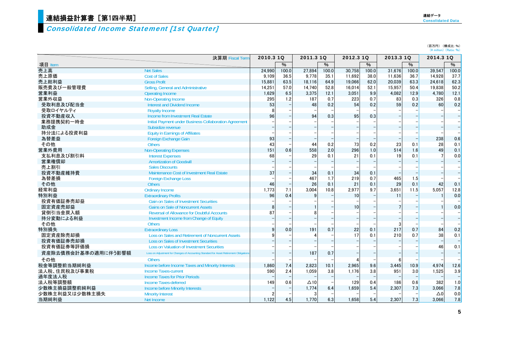## 連結損益計算書[第1四半期]  $\qquad \qquad$   $\qquad$   $\qquad$   $\qquad$   $\qquad$   $\qquad$   $\qquad$   $\qquad$   $\qquad$   $\qquad$   $\qquad$   $\qquad$   $\qquad$   $\qquad$   $\qquad$   $\qquad$   $\qquad$   $\qquad$   $\qquad$   $\qquad$   $\qquad$   $\qquad$   $\qquad$   $\qquad$   $\qquad$   $\qquad$   $\qquad$   $\qquad$   $\qquad$   $\qquad$   $\qquad$   $\qquad$   $\qquad$   $\qquad$

### Consolidated Income Statement [1st Quarter]

(百万円) (構成比:%)<br>(¥ million)(Ratio:%)

|                     | 決算期 Fiscal Term                                                                        | 2010.3 1Q |       | 2011.3 1Q   |       | 2012.3 10 |       | 2013.3 1Q |       | 2014.3 1Q      |                          |
|---------------------|----------------------------------------------------------------------------------------|-----------|-------|-------------|-------|-----------|-------|-----------|-------|----------------|--------------------------|
| 項目 Item             |                                                                                        |           | $\%$  |             | %     |           | $\%$  |           | $\%$  |                | $\%$                     |
| 売上高                 | <b>Net Sales</b>                                                                       | 24.990    | 100.0 | 27.894      | 100.0 | 30.758    | 100.0 | 31.676    | 100.0 | 39.547         | 100.0                    |
| 売上原価                | <b>Cost of Sales</b>                                                                   | 9.109     | 36.5  | 9.778       | 35.1  | 11.692    | 38.0  | 11,636    | 36.7  | 14.928         | 37.7                     |
| 売上総利益               | <b>Gross Profit</b>                                                                    | 15.881    | 63.5  | 18.116      | 64.9  | 19.066    | 62.0  | 20.039    | 63.3  | 24.618         | 62.3                     |
| 販売費及び一般管理費          | Selling, General and Administrative                                                    | 14,251    | 57.0  | 14,740      | 52.8  | 16,014    | 52.1  | 15,957    | 50.4  | 19,838         | 50.2                     |
| 営業利益                | <b>Operating Income</b>                                                                | 1,629     | 6.5   | 3,375       | 12.1  | 3.051     | 9.9   | 4,082     | 12.9  | 4.780          | 12.1                     |
| 営業外収益               | <b>Non-Operating Income</b>                                                            | 295       | 1.2   | 187         | 0.7   | 223       | 0.7   | 83        | 0.3   | 326            | 0.8                      |
| 受取利息及び配当金           | Interest and Dividend Income                                                           | 53        |       | 48          | 0.2   | 54        | 0.2   | 59        | 0.2   | 60             | 0.2                      |
| 受取ロイヤルティ            | <b>Royalty Income</b>                                                                  | 8         |       |             |       |           |       |           |       |                |                          |
| 投資不動産収入             | Income from Investment Real Estate                                                     | 96        |       | 94          | 0.3   | 95        | 0.3   |           |       |                | $\frac{1}{1}$            |
| 業務提携契約一時金           | Initial Payment under Business Collaboration Agreement                                 |           |       |             |       |           |       |           |       |                |                          |
| 助成金                 | Subsidize revenue                                                                      |           |       |             |       |           |       |           |       |                |                          |
| 持分法による投資利益          | <b>Equity in Earnings of Affiliates</b>                                                |           |       |             |       |           |       |           |       |                |                          |
| 為替差益                | Foreign Exchange Gain                                                                  | 93        |       |             |       |           |       |           |       | 238            | 0.6                      |
| その他                 | <b>Others</b>                                                                          | 43        |       | 44          | 0.2   | 73        | 0.2   | 23        | 0.1   | 28             | 0.1                      |
| 営業外費用               | <b>Non-Operating Expenses</b>                                                          | 151       | 0.6   | 558         | 2.0   | 296       | 1.0   | 514       | 1.6   | 49             | 0.1                      |
| 支払利息及び割引料           | <b>Interest Expenses</b>                                                               | 68        |       | 29          | 0.1   | 21        | 0.1   | 19        | 0.1   | $\overline{7}$ | 0.0                      |
| 営業権償却               | <b>Amortization of Goodwill</b>                                                        |           |       |             |       |           |       |           |       |                | $\overline{a}$           |
| 売上割引                | <b>Sales Discounts</b>                                                                 |           |       |             |       |           |       |           |       |                |                          |
| 投資不動産維持費            | Maintenance Cost of Investment Real Estate                                             | 37        |       | 34          | 0.1   | 34        | 0.1   |           |       |                | $\overline{a}$           |
| 為替差損                | <b>Foreign Exchange Loss</b>                                                           |           |       | 467         | 1.7   | 219       | 0.7   | 465       | 1.5   |                |                          |
| その他                 | <b>Others</b>                                                                          | 46        |       | 26          | 0.1   | 21        | 0.1   | 29        | 0.1   | 42             | 0.1                      |
| 経常利益                | <b>Ordinary Income</b>                                                                 | 1.773     | 7.1   | 3.004       | 10.8  | 2.977     | 9.7   | 3.651     | 11.5  | 5.057          | 12.8                     |
| 特別利益                | <b>Extraordinary Profits</b>                                                           | 96        | 0.4   | q           |       | 10        |       | 11        |       |                | 0.0                      |
| 投資有価証券売却益           | <b>Gain on Sales of Investment Securities</b>                                          |           |       |             |       |           |       |           |       |                |                          |
| 固定資産売却益             | <b>Gains on Sale of Noncurrent Assets</b>                                              | 8         |       |             |       | 10        |       |           |       |                | 0.0                      |
| 貸倒引当金戻入額            | <b>Reversal of Allowance for Doubtful Accounts</b>                                     | 87        |       |             |       |           |       |           |       |                | $\qquad \qquad -$        |
| 持分変動による利益           | Investment Income from Change of Equity                                                |           |       |             |       |           |       |           |       |                | $\overline{a}$           |
| その他                 | <b>Others</b>                                                                          |           |       |             |       |           |       |           |       |                |                          |
| 特別損失                | <b>Extraordinary Loss</b>                                                              | 9         | 0.0   | 191         | 0.7   | 22        | 0.1   | 217       | 0.7   | 84             | 0.2                      |
| 固定資産除売却損            | Loss on Sales and Retirement of Noncurrent Assets                                      | 9         |       |             |       | 17        | 0.1   | 210       | 0.7   | 38             | 0.1                      |
| 投資有価証券売却損           | <b>Loss on Sales of Investment Securities</b>                                          |           |       |             |       |           |       |           |       |                | $\overline{\phantom{m}}$ |
| 投資有価証券等評価損          | <b>Loss on Valuation of Investment Securities</b>                                      |           |       |             |       |           |       |           |       | 46             | 0.1                      |
| 資産除去債務会計基準の適用に伴う影響額 | Loss on Adjustment for Changes of Accounting Standard for Asset Retirement Obligations |           |       | 187         | 0.7   |           |       |           |       |                | $\qquad \qquad -$        |
| その他                 | <b>Others</b>                                                                          |           |       |             |       |           |       | 6         |       |                |                          |
| 税金等調整前当期純利益         | Income before Income Taxes and Minority Interests                                      | 1.860     | 7.4   | 2.823       | 10.1  | 2.965     | 9.6   | 3.445     | 10.9  | 4.974          | 12.6                     |
| 法人税、住民税及び事業税        | <b>Income Taxes-current</b>                                                            | 590       | 2.4   | 1.059       | 3.8   | 1,176     | 3.8   | 951       | 3.0   | 1.525          | 3.9                      |
| 過年度法人税              | <b>Income Taxes for Prior Periods</b>                                                  |           |       |             |       |           |       |           |       |                |                          |
| 法人税等調整額             | <b>Income Taxes-deferred</b>                                                           | 149       | 0.6   | $\Delta$ 10 |       | 129       | 0.4   | 186       | 0.6   | 382            | 1.0                      |
| 少数株主損益調整前純利益        | <b>Income before Minority Interests</b>                                                |           |       | 1,774       | 6.4   | 1.659     | 5.4   | 2,307     | 7.3   | 3,066          | 7.8                      |
| 少数株主利益又は少数株主損失      | <b>Minority Interest</b>                                                               |           |       | 3           |       |           |       |           |       | Δ0             | 0.0                      |
| 当期純利益               | Net Income                                                                             | 1,122     | 4.5   | 1.770       | 6.3   | 1,658     | 5.4   | 2.307     | 7.3   | 3.066          | 7.8                      |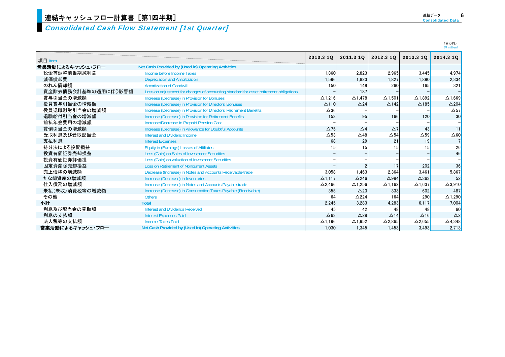### Consolidated Cash Flow Statement [1st Quarter]

| 連結データ                    | 6 |
|--------------------------|---|
| <b>Consolidated Data</b> |   |

|                     |                                                                                        |                |                 |                 |                 | $(4$ million)   |
|---------------------|----------------------------------------------------------------------------------------|----------------|-----------------|-----------------|-----------------|-----------------|
| 項目 Item             |                                                                                        | 2010.3 10      | 2011.3 10       | 2012.3 10       | 2013.3 1Q       | 2014.3 10       |
| 営業活動によるキャッシュ・フロー    | Net Cash Provided by (Used in) Operating Activities                                    |                |                 |                 |                 |                 |
| 税金等調整前当期純利益         | Income before Income Taxes                                                             | 1.860          | 2,823           | 2,965           | 3.445           | 4.974           |
| 減価償却費               | <b>Depreciation and Amortization</b>                                                   | 1,596          | 1,823           | 1,827           | 1,890           | 2.334           |
| のれん償却額              | <b>Amortization of Goodwill</b>                                                        | 150            | 149             | 260             | 165             | 321             |
| 資産除去債務会計基準の適用に伴う影響額 | Loss on adjustment for changes of accounting standard for asset retirement obligations |                | 187             |                 |                 |                 |
| 賞与引当金の増減額           | Increase (Decrease) in Provision for Bonuses                                           | $\Delta$ 1,216 | $\Delta$ 1,478  | $\Delta$ 1.501  | $\Delta$ 1.892  | $\Delta$ 1.669  |
| 役員賞与引当金の増減額         | Increase (Decrease) in Provision for Directors' Bonuses                                | $\Delta$ 110   | $\triangle$ 24  | $\triangle$ 142 | $\Delta$ 185    | $\triangle$ 204 |
| 役員退職慰労引当金の増減額       | Increase (Decrease) in Provision for Directors' Retirement Benefits                    | $\Delta 36$    |                 |                 |                 | $\Delta$ 57     |
| 退職給付引当金の増減額         | Increase (Decrease) in Provision for Retirement Benefits                               | 153            | 95              | 166             | 120             | 30              |
| 前払年金費用の増減額          | <b>Increase/Decrease in Prepaid Pension Cost</b>                                       |                |                 |                 |                 |                 |
| 貸倒引当金の増減額           | Increase (Decrease) in Allowance for Doubtful Accounts                                 | $\Delta$ 75    | $\Delta$ 4      | $\Delta$ 7      | 43              | 11              |
| 受取利息及び受取配当金         | Interest and Dividend Income                                                           | $\Delta$ 53    | $\triangle$ 48  | $\Delta$ 54     | $\Delta$ 59     | $\Delta 60$     |
| 支払利息                | <b>Interest Expenses</b>                                                               | 68             | 29              | 21              | 19              |                 |
| 持分法による投資損益          | Equity in (Earnings) Losses of Affiliates                                              | 15             | 15              | 15              | 15              | 26              |
| 投資有価証券売却損益          | Loss (Gain) on Sales of Investment Securities                                          |                |                 |                 |                 | 46              |
| 投資有価証券評価損           | Loss (Gain) on valuation of Investment Securities                                      |                |                 |                 |                 |                 |
| 固定資産除売却損益           | <b>Loss on Retirement of Noncurrent Assets</b>                                         |                |                 | 17              | 202             | 36              |
| 売上債権の増減額            | Decrease (Increase) in Notes and Accounts Receivable-trade                             | 3,058          | 1,463           | 2,364           | 3,461           | 5.867           |
| たな卸資産の増減額           | Increase (Decrease) in Inventories                                                     | $\Delta$ 1.117 | $\triangle$ 246 | $\triangle$ 984 | $\triangle$ 363 | 52              |
| 仕入債務の増減額            | Increase (Decrease) in Notes and Accounts Payable-trade                                | $\Delta$ 2,466 | $\Delta$ 1,256  | $\Delta$ 1,162  | $\Delta$ 1.637  | $\Delta$ 3.910  |
| 未払(未収)消費税等の増減額      | Increase (Decrease) in Consumption Taxes Payable (Receivable)                          | 355            | $\triangle$ 23  | 333             | 602             | 487             |
| その他                 | <b>Others</b>                                                                          | 64             | $\triangle$ 224 | 164             | 290             | $\Delta$ 1.290  |
| 小計                  | <b>Total</b>                                                                           | 2,245          | 3,283           | 4,283           | 6,117           | 7,004           |
| 利息及び配当金の受取額         | Interest and Dividends Received                                                        | 45             | 42              | 48              | 48              | 60              |
| 利息の支払額              | <b>Interest Expenses Paid</b>                                                          | $\triangle 63$ | $\triangle$ 28  | $\triangle$ 14  | $\Delta$ 16     | $\triangle$ 2   |
| 法人税等の支払額            | <b>Income Taxes Paid</b>                                                               | $\Delta$ 1.196 | $\Delta$ 1,952  | $\Delta$ 2.865  | $\Delta$ 2,655  | $\Delta$ 4.348  |
| 営業活動によるキャッシュ・フロー    | Net Cash Provided by (Used in) Operating Activities                                    | 1.030          | 1.345           | 1.453           | 3.493           | 2.713           |

(百万円)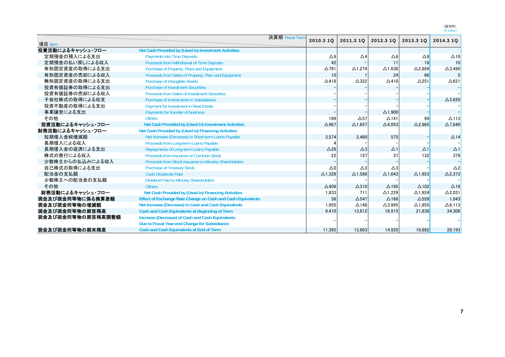|                   |                                                             | 決算期 Fiscal Term |                 |                   |                   |                   |                 |
|-------------------|-------------------------------------------------------------|-----------------|-----------------|-------------------|-------------------|-------------------|-----------------|
| 項目 Item           |                                                             |                 | 2010.3 1Q       | 2011.3 10         | 2012.3 10         | 2013.3 1Q         | 2014.3 10       |
| 投資活動によるキャッシュ・フロー  | Net Cash Provided by (Used in) Investment Activities        |                 |                 |                   |                   |                   |                 |
| 定期預金の預入による支出      | <b>Payments into Time Deposits</b>                          |                 | $\triangle 9$   | $\triangle 4$     | $\Delta 6$        | $\triangle 8$     | $\Delta$ 10     |
| 定期預金の払い戻しによる収入    | Proceeds from Withdrawal of Time Deposits                   |                 | 42              |                   | 11                | 18                | 10              |
| 有形固定資産の取得による支出    | Purchase of Property, Plant and Equipment                   |                 | $\Delta$ 791    | $\triangle$ 1.274 | $\Delta$ 1.630    | $\Delta$ 2.889    | $\Delta$ 3,490  |
| 有形固定資産の売却による収入    | Proceeds from Sales of Property, Plan and Equipment         |                 | 10              |                   | 24                | 66                |                 |
| 無形固定資産の取得による支出    | <b>Purchase of Intangible Assets</b>                        |                 | $\Delta$ 418    | $\triangle$ 322   | $\triangle$ 410   | $\Delta$ 251      | $\triangle$ 621 |
| 投資有価証券の取得による支出    | <b>Purchase of Investment Securities</b>                    |                 |                 |                   |                   |                   |                 |
| 投資有価証券の売却による収入    | <b>Proceeds from Sales of Investment Securities</b>         |                 |                 |                   |                   |                   |                 |
| 子会社株式の取得による収支     | <b>Purchase of Investments in Subsidiaries</b>              |                 |                 |                   |                   |                   | $\Delta$ 3,620  |
| 投資不動産の取得による支出     | <b>Payment for Investment in Real Estate</b>                |                 |                 |                   |                   |                   |                 |
| 事業譲受による支出         | Payments for transfer of business                           |                 |                 |                   | $\Delta$ 1,900    |                   |                 |
| その他               | <b>Others</b>                                               |                 | 199             | $\Delta$ 57       | $\triangle$ 141   | 99                | $\Delta$ 113    |
| 投資活動によるキャッシュ・フロー  | Net Cash Provided by (Used in) Investment Activities        |                 | $\Delta$ 967    | $\Delta$ 1,657    | $\Delta$ 4,053    | $\Delta$ 2,965    | $\Delta$ 7,840  |
| 財務活動によるキャッシュ・フロー  | Net Cash Provided by (Used in) Financing Activities         |                 |                 |                   |                   |                   |                 |
| 短期借入金純増減額         | Net Increase (Decrease) in Short-term Loans Payable         |                 | 3.574           | 2.460             | 575               |                   | $\triangle$ 14  |
| 長期借入による収入         | Proceeds from Long-term Loans Payable                       |                 |                 |                   |                   |                   |                 |
| 長期借入金の返済による支出     | Repayments of Long-term Loans Payable                       |                 | $\triangle$ 28  | $\triangle 3$     | $\Delta$ 1        | $\Delta$ 1        | $\Delta$ 1      |
| 株式の発行による収入        | Proceeds from Issuance of Common Stock                      |                 | 22              | 157               | 37                | 132               | 379             |
| 少数株主からの払込みによる収入   | Proceeds from Stock Issuance to Minority Shareholders       |                 |                 |                   |                   |                   |                 |
| 自己株式の取得による支出      | <b>Purchase of Treasury Stock</b>                           |                 | $\triangle 0$   | $\triangle 3$     | $\triangle 3$     |                   | $\triangle$ 2   |
| 配当金の支払額           | <b>Cash Dividends Paid</b>                                  |                 | $\Delta$ 1,329  | $\Delta$ 1,588    | $\Delta$ 1,643    | $\Delta$ 1,953    | $\Delta$ 2,373  |
| 少数株主への配当金の支払額     | <b>Dividend Paid to Minority Shareholders</b>               |                 |                 |                   |                   |                   |                 |
| その他               | <b>Others</b>                                               |                 | $\triangle$ 409 | $\Delta$ 310      | $\Delta$ 195      | $\triangle$ 102   | $\triangle$ 18  |
| 財務活動によるキャッシュ・フロー  | Net Cash Provided by (Used in) Financing Activities         |                 | 1,833           | 711               | $\Delta$ 1,229    | $\triangle$ 1.924 | $\Delta$ 2,031  |
| 現金及び現金同等物に係る換算差額  | Effect of Exchange Rate Change on Cash and Cash Equivalents |                 | 58              | $\Delta$ 547      | $\Delta$ 166      | $\Delta$ 559      | 1,043           |
| 現金及び現金同等物の増減額     | Net Increase (Decrease) in Cash and Cash Equivalents        |                 | 1.955           | $\triangle$ 148   | $\triangle$ 3.995 | $\triangle$ 1.955 | $\Delta$ 6.113  |
| 現金及び現金同等物の期首残高    | Cash and Cash Equivalents at Beginning of Term              |                 | 9,410           | 13,812            | 18,915            | 21,838            | 34,306          |
| 現金及び現金同等物の期首残高調整額 | <b>Increase (Decrease) of Cash and Cash Equivalents</b>     |                 |                 |                   |                   |                   |                 |
|                   | Due to Fiscal Year-end Change for Subsidiaries              |                 |                 |                   |                   |                   |                 |
| 現金及び現金同等物の期末残高    | Cash and Cash Equivalents at End of Term                    |                 | 11.365          | 13.663            | 14.920            | 19.882            | 28.193          |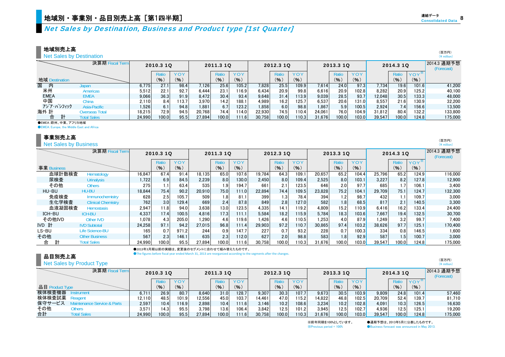## Net Sales by Destination, Business and Product type [1st Quarter]

地域別売上高

Net Sales by Destination

|                | <b>Net Sales by Destination</b> |        |           |            |        |           |       |        |           |            |        |           |       |        |           |                      | $(*$ million)             |
|----------------|---------------------------------|--------|-----------|------------|--------|-----------|-------|--------|-----------|------------|--------|-----------|-------|--------|-----------|----------------------|---------------------------|
|                | 決算期 Fiscal Term                 |        | 2010.3 1Q |            |        | 2011.3 1Q |       |        | 2012.3 10 |            |        | 2013.3 10 |       |        | 2014.3 10 |                      | 2014.3 通期予想<br>(Forecast) |
|                |                                 |        | Ratio     | <b>YOY</b> |        | Ratio     | YOY   |        | Ratio     | <b>YOY</b> |        | Ratio     | YOY   |        | Ratio     | YOY <sup>*</sup>     |                           |
| 地域 Destination |                                 |        | (%)       | (9)        |        | (9)       | (%)   |        | (% )      | (9)        |        | (% )      | (%)   |        | (9)       | (% )                 |                           |
| 国<br>内         | Japan                           | 6.775  | 27.1      | 98.4       | 7,126  | 25.6      | 105.2 | 7.828  | 25.5      | 109.9      | 7,614  | 24.0      | 97.3  | 7,734  | 19.6      | 101.6                | 41.200                    |
| 米州             | <b>Americas</b>                 | 5,512  | 22.1      | 92.7       | 6,444  | 23.1      | 116.9 | 6.434  | 20.9      | 99.8       | 6,616  | 20.9      | 102.8 | 8,282  | 20.9      | 125.2 <mark> </mark> | 40,100                    |
| <b>EMEA</b>    | <b>EMEA</b>                     | 9.066  | 36.3      | 91.9       | 8.472  | 30.4      | 93.4  | 9.648  | 31.4      | 113.9      | 9,039  | 28.5      | 93.7  | 12.048 | 30.5      | 133.3                | 48,000                    |
| 中国             | China                           | 2.110  | 8.4       | 113.7      | 3,970  | 14.2      | 188.1 | 4.989  | 16.2      | 125.7      | 6,537  | 20.6      | 131.0 | 8,557  | 21.6      | 130.9 <mark> </mark> | 32,200                    |
| アジア・パシフィック     | Asia-Pacific                    | 1,526  | 6.1       | 94.8       | 1,881  | 6.7       | 123.2 | 1,858  | 6.0       | 98.8       | 1,867  | 5.9       | 100.5 | 2,924  | 7.4       | 156.6                | 13,500                    |
| 海外 計           | Overseas Total                  | 18,215 | 72.9      | 94.5       | 20.768 | 74.4      | 114.0 | 22.930 | 74.5      | 110.41     | 24.061 | 76.0      | 104.9 | 31.812 | 80.4      | 132.2                | 133.800                   |
| 台              | 計<br><b>Total Sales</b>         | 24.990 | 100.0     | 95.5       | 27.894 | 100.0     | 111.6 | 30.758 | 100.0     | 10.3       | 31.676 | 100.0     | 103.0 | 39.547 | 100.0     | 124.8I               | 175,000                   |
|                | 全ていてん 防制 市市 マコリも地域              |        |           |            |        |           |       |        |           |            |        |           |       |        |           |                      |                           |

●EMEA:欧州、中東、アフリカ地域

●EMEA: Europe, the Middle East and Africa

#### 事業別売上高

Net Sales by Business

|             | 決算期 Fiscal Term           |        | 2010.3 1Q         |            |        | 2011.3 10 |       |        | 2012.3 10 |            |        | 2013.3 1Q |                      |        | 2014.3 10 |         | 2014.3 通期予想<br>(Forecast) |
|-------------|---------------------------|--------|-------------------|------------|--------|-----------|-------|--------|-----------|------------|--------|-----------|----------------------|--------|-----------|---------|---------------------------|
|             |                           |        | Ratio             | <b>YOY</b> |        | Ratio     | YOY   |        | Ratio     | <b>YOY</b> |        | Ratio     | <b>YOY</b>           |        | Ratio     | $YOY^*$ |                           |
| 事業 Business |                           |        | (9)               | (9)        |        | (9)       | (% )  |        | (96)      | (9)        |        | (9)       | (9)                  |        | (9)       | (% )    |                           |
| 血球計数検査      | Hematology                | 16.847 | 67.4              | 91.4       | 18.135 | 65.0      | 107.6 | 19.784 | 64.3      | 109.1      | 20,657 | 65.2      | 104.4                | 25.796 | 65.2      | 124.9   | 116,000                   |
| 尿検査         | <b>Urinalysis</b>         | 1,722  | 6.9               | 84.5       | 2.239  | 8.0       | 130.0 | 2.450  | 8.0       | 109.4      | 2,525  | 8.0       | 103.1                | 3.227  | 8.2       | 127.8   | 12.900                    |
| その他         | <b>Others</b>             | 275    |                   | 63.4       | 535    | 1.9       | 194.7 | 661    | 2.1       | 123.5      | 646    | 2.0       | 97.7                 | 685    | 1.7       | 106.1   | 3.400                     |
| HU-BU       | HU-BU                     | 18,844 | 75.4              | 90.2       | 20.910 | 75.0      | 111.0 | 22,894 | 74.4      | 109.5      | 23,828 | 75.2      | 104.1                | 29.709 | 75.1      | 124.7   | 132,300                   |
| 免疫検査        | Immunochemistry           | 628    | 2.5               | 105.7      | 509    | 1.8       | 81.1  | 399    | 1.3       | 78.4       | 394    | 1.2       | 98.7                 | 432    | 1.1       | 109.7   | 3.000                     |
| 生化学検査       | <b>Clinical Chemistry</b> | 762    | 3.0               | 129.4      | 669    | 2.4       | 87.8  | 849    | 2.8       | 127.0      | 582    | 1.8       | 68.5                 | 817    | 2.1       | 140.5   | 3.300                     |
| 血液凝固検査      | <b>Hemostasis</b>         | 2,947  | 11.8              | 94.0       | 3,638  | 13.0      | 123.5 | 4.335  | 14.1      | 119.2      | 4,809  | 15.2      | 110.9 <mark>1</mark> | 6.416  | 16.2      | 133.4   | 24.400                    |
| ICH-BU      | <b>ICH-BU</b>             | 4.337  | 17.4 <sub>1</sub> | 100.5      | 4.816  | 17.3      | 111.1 | 5.584  | 18.21     | 115.9      | 5.784  | 18.3      | 103.6                | 7.667  | 19.4      | 132.5   | 30.700                    |
| その他IVD      | Other IVD                 | 1.078  | 4.3               | 205.0      | 1,290  | 4.6       | 119.6 | 1.426  | 4.6       | 110.5      | 1,253  | 4.0       | 87.9                 | 1,249  | 3.2       | 99.7    | 7.400                     |
| IVD 計       | <b>IVD Subtotal</b>       | 24,258 | 97.1              | 94.2       | 27,015 | 96.8      | 111.4 | 29,903 | 97.2      | 110.7      | 30,865 | 97.4      | 103.2                | 38,626 | 97.7      | 125.1   | 170,400                   |
| LS-BU       | Life Science-BU           | 165    | 0.7               | 971.2      | 244    | 0.9       | 147.7 | 227    | 0.7       | 93.2       | 228    | 0.7       | 100.3                | 334    | 0.8       | 146.5   | 1,600                     |
| その他         | <b>Other Business</b>     | 567    | 2.3               | 146.1      | 635    | 2.3       | 112.0 | 627    | 2.0       | 98.8       | 583    | 1.8       | 92.9                 | 587    | 1.5       | 100.7   | 3.000                     |
| 計<br>合      | <b>Total Sales</b>        | 24,990 | 100.0             | 95.5       | 27,894 | 100.0     | 111.6 | 30,758 | 100.0     | 110.3      | 31,676 | 100.0     | 103.0                | 39,547 | 100.0     | 124.8   | 175.000                   |

●2013年3月期以前の実績は、変更後のセグメントに合わせて組み替えたものです。

●The figures before fiscal year ended March 31, 2013 are reorganized according to the segments after the changes.

#### 品目別売上高 Net Sales by Product Type

|                 | Net Sales by Product Type |        |           |       |        |           |       |        |           |            |        |           |            |        |           |                    | $(4$ million)             |
|-----------------|---------------------------|--------|-----------|-------|--------|-----------|-------|--------|-----------|------------|--------|-----------|------------|--------|-----------|--------------------|---------------------------|
|                 | 決算期 Fiscal Term           |        | 2010.3 1Q |       |        | 2011.3 10 |       |        | 2012.3 10 |            |        | 2013.3 10 |            |        | 2014.3 10 |                    | 2014.3 通期予想<br>(Forecast) |
|                 |                           |        | Ratio     |       |        | Ratio     | YOY   |        | Ratio     | <b>YOY</b> |        |           | <b>YOY</b> |        | Ratio     | YOY <sup>3</sup>   |                           |
| 品目 Product Type |                           |        | (9)       | (9)   |        | (96)      | (9)   |        | (9)       | (% )       |        | (9)       | (% )       |        | (9)       | (9)                |                           |
| 検体検査機器          | strument                  | 6.711  | 26.9      | 80.7  | 8.640  | 31.0      | 128.7 | 9.307  | 30.3      | 107.7      | 9.673  | 30.5      | 103.9      | 9.809  | 24.8      | 101.4 <sub>h</sub> | 57.460                    |
| 検体検査試薬          | Readent                   | 12.110 | 48.5      | 101.9 | 12.556 | 45.0      | 103.7 | 14,461 | 47.0      | 115.2      | 14,822 | 46.8      | 102.5      | 20.709 | 52.4      | 139.7              | 81,710                    |
| 保守サービス          | tenance Service & Parts   | 2,597  | 10.4      | 116.9 | 2.898  | 10.4      | 111.6 | 3.146  | 10.2      | 108.6      | 3,234  | 10.2      | 102.8      | 4.091  | 10.3      | 126.5              | 16,630                    |
| その他             | Others                    | 3.571  | 14.3      | 95.5  | 3.798  | 13.6      | 106.4 | 3.842  | 12.5      | 101.2      | 3.945  | 12.5      | 102.7      | 4.936  | 12.5      | 125.1              | 19.200                    |
| 合計              | <b>Total Sales</b>        | 24.990 | 100.0     | 95.5  | 27.894 | 100.0     | 111.6 | 30.758 | 100.0     | 110.3      | 31.676 | 100.0     | 103.0      | 39.547 | 100.0     | 124.8              | 175,000                   |

※前年同期を100%としています。 ●通期予想は、2013年5月に公表したものです。 ※Previous period = 100% ●Business forecast was announced in May 2013.

8連結データ**Consolidated Data** 

(百万円)

(百万円)  $(\frac{V}{I})$  million

(百万円)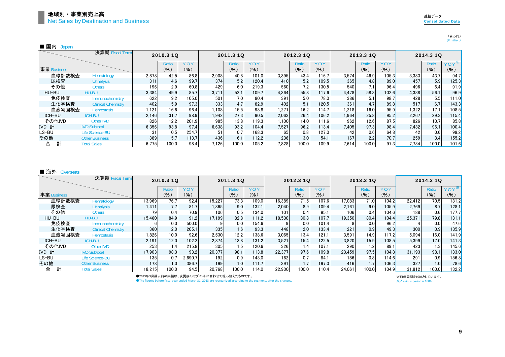(百万円)<br>(¥ million)

| ا ہے ا | . va |
|--------|------|
|--------|------|

|             | 決算期 Fiscal Term           |       | 2010.3 1Q        |       |       | 2011.3 1Q |       |       | 2012.3 10 |       |       | 2013.3 10 |       |       | 2014.3 10 |       |
|-------------|---------------------------|-------|------------------|-------|-------|-----------|-------|-------|-----------|-------|-------|-----------|-------|-------|-----------|-------|
|             |                           |       | Rati             | YOY   |       | Ratio     | YOY   |       | Ratio     | YOY   |       | Ratio     | YOY   |       | Ratio     | YOY   |
| 事業 Business |                           |       | (%)              | (% )  |       | (9)       | (%)   |       | (9)       | (9)   |       | (%)       | (%)   |       | (%)       | (9)   |
| 血球計数検査      | Hematology                | 2.878 | 42.5             | 86.8  | 2.908 | 40.8      | 101.0 | 3.395 | 43.4      | 116.7 | 3.574 | 46.9      | 105.3 | 3.383 | 43.7      | 94.7  |
| 尿検査         | <b>Urinalysis</b>         | 311   | 4.6              | 99.7  | 374   | 5.2       | 120.4 | 410   | 5.2       | 109.5 | 365   | 4.8       | 89.0  | 457   | 5.9       | 125.3 |
| その他         | <b>Others</b>             | 196   | 2.9              | 60.8  | 429   | 6.0       | 219.3 | 560   | 7.2       | 130.5 | 540   | 7.1       | 96.4  | 496   | 6.4       | 91.9  |
| HU-BU       | HU-BU                     | 3,384 | 49.9             | 85.7  | 3.711 | 52.1      | 109.7 | 4,364 | 55.8      | 117.6 | 4.478 | 58.8      | 102.6 | 4,338 | 56.1      | 96.9  |
| 免疫検査        | Immunochemistry           | 622   | 9.2 <sub>1</sub> | 105.0 | 501   | 7.0       | 80.4  | 391   | 5.0       | 78.0  | 386   | 5.1       | 98.7  | 428   | 5.5       | 111.0 |
| 生化学検査       | <b>Clinical Chemistry</b> | 402   | 5.9              | 97.3  | 333   | 4.7       | 82.9  | 402   | 5.1       | 120.5 | 361   | 4.7       | 89.8  | 517   | 6.7       | 143.3 |
| 血液凝固検査      | <b>Hemostasis</b>         | 1,121 | 16.6             | 96.4  | 1.108 | 15.5      | 98.8  | 1,271 | 16.2      | 114.7 | 1.218 | 16.0      | 95.9  | 1.322 | 17.1      | 108.5 |
| ICH-BU      | <b>ICH-BU</b>             | 2.146 | 31.7             | 98.9  | 1.942 | 27.3      | 90.5  | 2.063 | 26.4      | 106.2 | 1.964 | 25.8      | 95.2  | 2.267 | 29.3      | 115.4 |
| その他IVD      | Other IVD                 | 826   | 12.2             | 201.9 | 985   | 13.8      | 119.3 | 1.100 | 14.0      | 111.6 | 962   | 12.6      | 87.5  | 826   | 10.7      | 85.8  |
| IVD 計       | <b>IVD Subtotal</b>       | 6.356 | 93.8             | 97.4  | 6.638 | 93.2      | 104.4 | 7,527 | 96.2      | 113.4 | 7.405 | 97.3      | 98.4  | 7.432 | 96.1      | 100.4 |
| LS-BU       | Life Science-BU           | 31    | 0.5              | 254.7 | 51    | 0.7       | 168.3 | 65    | 0.8       | 127.0 | 42    | 0.6       | 64.8  | 42    | 0.6       | 99.2  |
| その他         | <b>Other Business</b>     | 389   | 5.7              | 113.7 | 436   | 6.1       | 112.2 | 236   | 3.0       | 54.1  | 167   | 2.2       | 70.7  | 259   | 3.4       | 155.2 |
| 計<br>合      | <b>Total Sales</b>        | 6,775 | 100.0            | 98.4  | 7,126 | 100.0     | 105.2 | 7,828 | 100.0     | 109.9 | 7.614 | 100.0     | 97.3  | 7.734 | 100.0     | 101.6 |

#### ■ 海外 Overseas

|             | 決算期 Fiscal Term           |        | 2010.3 1Q |         |        | 2011.3 10 |            |        | 2012.3 10 |       |        | 2013.3 1Q |       |        | 2014.3 10 |         |
|-------------|---------------------------|--------|-----------|---------|--------|-----------|------------|--------|-----------|-------|--------|-----------|-------|--------|-----------|---------|
|             |                           |        | Ratio     | YOY     |        | Ratio     | <b>YOY</b> |        | Ratio     | YOY   |        | Ratio     | YOY   |        | Ratio     | $YOY^*$ |
| 事業 Business |                           |        | (%)       | (9)     |        | (%)       | (% )       |        | (9)       | (9)   |        | (%)       | (%)   |        | (%)       | (9)     |
| 血球計数検査      | Hematology                | 13,969 | 76.7      | 92.4    | 15,227 | 73.3      | 109.0      | 16.389 | 71.5      | 107.6 | 17.083 | 71.0      | 104.2 | 22.412 | 70.5      | 131.2   |
| 尿検査         | <b>Urinalysis</b>         | 1.411  | 7.7       | 81.7    | .865   | 9.0       | 132.1      | 2.040  | 8.9       | 109.4 | 2.161  | 9.0       | 105.9 | 2,769  | 8.7       | 128.1   |
| その他         | <b>Others</b>             | 79     | 0.4       | 70.9    | 106    | 0.5       | 134.0      | 101    | 0.4       | 95.1  | 106    | 0.4       | 104.6 | 188    | 0.6       | 177.7   |
| HU-BU       | <b>HU-BU</b>              | 15.460 | 84.9      | 91.2    | 17.199 | 82.8      | 111.2      | 18.530 | 80.8      | 107.7 | 19.350 | 80.4      | 104.4 | 25.371 | 79.8      | 131.1   |
| 免疫検査        | Immunochemistry           |        | 0.0       | 500.0   |        | 0.0       | 154.6      |        | 0.0       | 101.4 |        | 0.0       | 96.2  |        | 0.0       | 47.6    |
| 生化学検査       | <b>Clinical Chemistry</b> | 360    | 2.0       | 205.1   | 335    | 1.6       | 93.3       | 448    | 2.0       | 133.4 | 221    | 0.9       | 49.3  | 300    | 0.9       | 135.9   |
| 血液凝固検査      | <b>Hemostasis</b>         | 1.826  | 10.0      | 92.6    | 2.530  | 12.2      | 138.6      | 3.065  | 13.4      | 121.1 | 3.591  | 14.9      | 117.2 | 5.094  | 16.0      | 141.9   |
| ICH-BU      | <b>ICH-BU</b>             | 2.191  | 12.0      | 102.2   | 2.874  | 13.8      | 131.2      | 3.521  | 15.4      | 122.5 | 3.820  | 15.9      | 108.5 | 5.399  | 17.0      | 141.3   |
| その他IVD      | <b>Other IVD</b>          | 253    | 1.4       | 215.8   | 305    | 1.5       | 120.6      | 326    | 1.4       | 107.1 | 290    | 1.2       | 89.1  | 423    | 1.3       | 145.6   |
| IVD 計       | <b>IVD Subtotal</b>       | 17.903 | 98.3      | 93.2    | 20,377 | 98.1      | 113.8      | 22.377 | 97.6      | 109.8 | 23.459 | 97.5      | 104.8 | 31.193 | 98.1      | 133.0   |
| LS-BU       | <b>Life Science-BU</b>    | 135    | 0.7       | 2.690.7 | 192    | 0.9       | 143.0      | 162    | 0.7       | 84.1  | 186    | 0.8       | 114.6 | 291    | 0.9       | 156.8   |
| その他         | <b>Other Business</b>     | 178    | 1.0       | 386.7   | 199    | 1.0       | 111.7      | 391    | 1.7       | 197.0 | 416    | 1.7       | 106.3 | 327    | 1.0       | 78.6    |
| 計<br>合      | <b>Total Sales</b>        | 18.215 | 100.0     | 94.5    | 20.768 | 100.0     | 114.0      | 22,930 | 100.0     | 110.4 | 24.061 | 100.0     | 104.9 | 31,812 | 100.0     | 132.2   |

●2013年3月期以前の実績は、変更後のセグメントに合わせて組み替えたものです。

※Previous period = 100% ※前年同期を100%としています。

●The figures before fiscal year ended March 31, 2013 are reorganized according to the segments after the changes.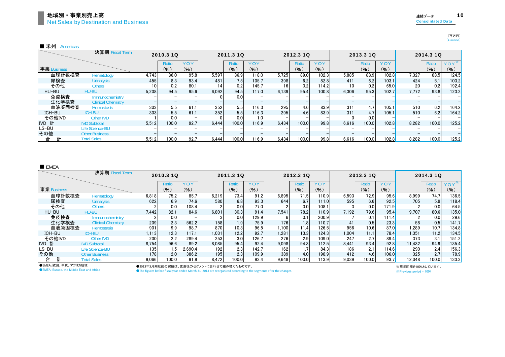■ 米州 Americas

|             | 決算期 Fiscal Term           |       | 2010.3 10 |      |       | 2011.3 10 |            |       | 2012.3 10 |       |       | 2013.3 10 |       |       | 2014.3 10 |            |
|-------------|---------------------------|-------|-----------|------|-------|-----------|------------|-------|-----------|-------|-------|-----------|-------|-------|-----------|------------|
|             |                           |       | Ratic     | YOY  |       | Ratio     | <b>YOY</b> |       | Ratio     | YOY   |       | Ratio     | YOY   |       | Ratio     | <b>YOY</b> |
| 事業 Business |                           |       | (9)       | (% ) |       | (% )      | (9)        |       | (%)       | (% )  |       | (% )      | (96)  |       | (%)       | $(\% )$    |
| 血球計数検査      | Hematology                | 4.743 | 86.0      | 95.8 | 5.597 | 86.9      | 118.0      | 5.725 | 89.0      | 102.3 | 5.885 | 88.9      | 102.8 | 7,327 | 88.5      | 124.5      |
| 尿検査         | <b>Urinalysis</b>         | 455   | 8.3       | 93.4 | 481   | 7.5       | 105.7      | 398   | 6.2       | 82.8  | 411   | 6.2       | 103.1 | 424   | 5.1       | 103.2      |
| その他         | Others                    | 10    | 0.2       | 80.1 | 14    | 0.2       | 145.7      |       | 0.2       | 114.2 | 10    | 0.2       | 65.0  | 20    | 0.2       | 192.4      |
| HU-BU       | HU-BU                     | 5.208 | 94.5      | 95.6 | 6.092 | 94.5      | 117.0      | 6.139 | 95.4      | 100.8 | 6.306 | 95.3      | 102.7 | 7.772 | 93.8      | 123.2      |
| 免疫検査        | Immunochemistry           |       |           |      |       | 0.0       |            |       |           |       |       |           |       |       |           |            |
| 生化学検査       | <b>Clinical Chemistry</b> |       |           |      |       |           |            |       |           |       |       |           |       |       |           |            |
| 血液凝固検査      | <b>Hemostasis</b>         | 303   | 5.5       | 61.  | 352   | 5.5       | 116.3      | 295   | 4.6       | 83.9  | 311   | 4.7       | 105.1 | 510   | 6.2       | 164.2      |
| ICH-BU      | <b>ICH-BU</b>             | 303   | 5.5       | 61.1 | 352   | 5.5       | 116.3      | 295   | 4.6       | 83.9  | 311   | 4.7       | 105.1 | 510   | 6.2       | 164.2      |
| その他IVD      | Other IVD                 |       | 0.0       |      |       | 0.0       | 1.0        |       |           |       |       | 0.0       |       |       |           |            |
| IVD 計       | <b>IVD Subtotal</b>       | 5.512 | 100.0     | 92.7 | 6.444 | 100.0     | 116.9      | 6.434 | 100.0     | 99.8  | 6.616 | 100.0     | 102.8 | 8.282 | 100.0     | 125.2      |
| LS-BU       | <b>Life Science-BU</b>    |       |           |      |       |           |            |       |           |       |       |           |       |       |           |            |
| その他         | <b>Other Business</b>     |       |           |      |       |           |            |       |           |       |       |           |       |       |           |            |
| 計<br>合      | <b>Total Sales</b>        | 5.512 | 100.0     | 92.7 | 6.444 | 100.0     | 116.9      | 6.434 | 100.0     | 99.8  | 6.616 | 100.0     | 102.8 | 8.282 | 100.0     | 125.2      |

■ EMEA

|             | 決算期 Fiscal Term           |       | 2010.3 10 |         |       | 2011.3 10        |            |       | 2012.3 10 |       |       | 2013.3 10 |       |        | 2014.3 10 |         |
|-------------|---------------------------|-------|-----------|---------|-------|------------------|------------|-------|-----------|-------|-------|-----------|-------|--------|-----------|---------|
|             |                           |       | Ratio     | YOY     |       | Ratio            | <b>YOY</b> |       | Ratio     | YOY   |       | Ratio     | YOY   |        | Ratio     | $YOY^*$ |
| 事業 Business |                           |       | (%)       | (%)     |       | (9)              | (%)        |       | (%)       | (%)   |       | (9)       | (%)   |        | (9)       | (%)     |
| 血球計数検査      | Hematology                | 6.818 | 75.2      | 85.7    | 6.219 | 73.4             | 91.2       | 6.895 | 71.5      | 110.9 | 6.593 | 72.9      | 95.6  | 8,999  | 74.7      | 136.5   |
| 尿検査         | <b>Urinalysis</b>         | 622   | 6.9       | 74.6    | 580   | 6.8              | 93.3       | 644   | 6.7       | 111.0 | 595   | 6.6       | 92.5  | 705    | 5.9       | 118.4   |
| その他         | Others                    |       | 0.0       | 108.4   |       | 0.0              | 77.0       |       | 0.0       | 108.1 |       | 0.0       | 171.9 |        | 0.0       | 64.5    |
| HU-BU       | HU-BU                     | 7.442 | 82.1      | 84.6    | 6.801 | 80.3             | 91.4       | 7.541 | 78.2      | 110.9 | 7.192 | 79.6      | 95.4  | 9,707  | 80.6      | 135.0   |
| 免疫検査        | Immunochemistry           |       | 0.0       |         |       | 0.0              | 129.9      |       | 0.1       | 200.9 |       | 0.1       | 111.4 |        | 0.0       | 29.6    |
| 生化学検査       | <b>Clinical Chemistry</b> | 209   | 2.3       | 562.2   | 158   | 1.9              | 75.9       | 176   | 1.8       | 110.7 | 41    | 0.5       | 23.3  | 58     | 0.5       | 141.7   |
| 血液凝固検査      | <b>Hemostasis</b>         | 901   | 9.9       | 98.7    | 870   | 10.3             | 96.5       | 1,100 | 11.4      | 126.5 | 956   | 10.6      | 87.0  | 1.289  | 10.7      | 134.8   |
| ICH-BU      | <b>ICH-BU</b>             | 1.113 | 12.3      | 117.1   | 1,031 | 12.21            | 92.7       | 1,281 | 13.3      | 124.3 | 1.004 | 11.1      | 78.4  | 1.351  | 11.2      | 134.5   |
| その他IVD      | Other IVD                 | 200   | 2.2       | 289.4   | 253   | 3.0 <sub>1</sub> | 126.7      | 276   | 2.91      | 109.0 | 247   | 2.7       | 89.4  | 373    | 3.1       | 151.2   |
| IVD 計       | <b>IVD Subtotal</b>       | 8.754 | 96.6      | 89.2    | 8.085 | 95.4             | 92.4       | 9.098 | 94.3      | 112.5 | 8.441 | 93.4      | 92.8  | 11.432 | 94.9      | 135.4   |
| LS-BU       | Life Science-BU           | 135   | 1.51      | 2.690.4 | 192   | 2.31             | 142.7      | 162   |           | 84.3  | 186   | 2.1       | 114.6 | 290    | 2.4       | 156.3   |
| その他         | <b>Other Business</b>     | 178   | 2.0       | 386.2   | 195   | 2.3              | 109.9      | 389   | 4.0       | 198.9 | 412   | 4.6       | 106.0 | 325    | 2.7       | 78.9    |
| 計<br>合      | <b>Total Sales</b>        | 9.066 | 100.0     | 91.9    | 8.472 | 100.0            | 93.4       | 9.648 | 100.0     | 113.9 | 9.039 | 100.0     | 93.7  | 12,048 | 100.0     | 133.3   |

●EMEA:欧州、中東、アフリカ地域 **CEMEA: Europe, the Middle East and Africa** 

●2013年3月期以前の実績は、変更後のセグメントに合わせて組み替えたものです。

●The figures before fiscal year ended March 31, 2013 are reorganized according to the segments after the changes.

※Previous period = 100% ※前年同期を100%としています。

(百万円)  $(\frac{1}{2})$  million)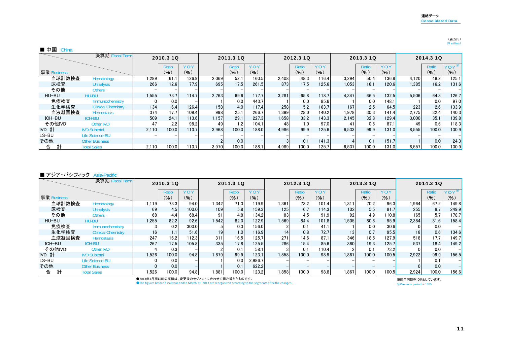#### (百万円) $(\frac{y}{\text{ million}})$

#### ■ 中国 China

|             | 決算期 Fiscal Term           |       | 2010.3 1Q |       |       | 2011.3 10 |       |       | 2012.3 10 |       |       | 2013.3 1Q |       |       | 2014.3 10 |         |
|-------------|---------------------------|-------|-----------|-------|-------|-----------|-------|-------|-----------|-------|-------|-----------|-------|-------|-----------|---------|
|             |                           |       | Ratio     | YOY   |       | Ratio     | YOY   |       | Ratio     | YOY   |       | Ratio     | YOY   |       | Ratio     | $YOY^*$ |
| 事業 Business |                           |       | (9)       | (%)   |       | (96)      | (9)   |       | (%)       | (%)   |       | (% )      | (%)   |       | (% )      | (%)     |
| 血球計数検査      | Hematology                | 1,289 | 61.1      | 126.9 | 2.069 | 52.1      | 160.5 | 2,408 | 48.3      | 116.4 | 3.294 | 50.4      | 136.8 | 4.120 | 48.2      | 125.1   |
| 尿検査         | <b>Urinalysis</b>         | 266   | 12.6      | 77.9  | 695   | 17.5      | 261.5 | 873   | 17.5      | 125.6 | 1.053 | 16.1      | 120.6 | 1.385 | 16.2      | 131.6   |
| その他         | <b>Others</b>             |       |           |       |       |           |       |       |           |       |       |           |       |       |           |         |
| HU-BU       | HU-BU                     | 1,555 | 73.7      | 114.7 | 2.763 | 69.6      | 177.7 | 3.281 | 65.8      | 118.7 | 4.347 | 66.5      | 132.5 | 5.506 | 64.3      | 126.7   |
| 免疫検査        | Immunochemistry           |       | 0.0       |       |       | 0.0       | 443.7 |       | 0.0       | 85.6  |       | 0.0       | 148.1 |       | 0.0       | 97.0    |
| 生化学検査       | <b>Clinical Chemistry</b> | 134   | 6.4       | 126.4 | 158   | 4.0       | 117.4 | 258   | 5.2       | 163.7 | 167   | 2.5       | 64.5  | 223   | 2.6       | 133.9   |
| 血液凝固検査      | <b>Hemostasis</b>         | 374   | 17.7      | 109.4 | 998   | 25.1      | 266.7 | 1.399 | 28.0      | 140.2 | 1.978 | 30.3      | 141.4 | 2.775 | 32.4      | 140.3   |
| ICH-BU      | <b>ICH-BU</b>             | 509   | 24.1      | 113.6 | 1.157 | 29.1      | 227.3 | 1.658 | 33.2      | 143.3 | 2.145 | 32.8      | 129.4 | 3.000 | 35.1      | 139.8   |
| その他IVD      | Other IVD                 | 47    | 2.2       | 98.2  | 49    |           | 104.1 | 48    | 1.0       | 97.0  |       | 0.6       | 87.1  | 49    | 0.6       | 118.3   |
| IVD 計       | <b>IVD Subtotal</b>       | 2.110 | 100.0     | 113.7 | 3.968 | 100.0     | 188.0 | 4.986 | 99.9      | 125.6 | 6.533 | 99.9      | 131.0 | 8.555 | 100.0     | 130.9   |
| LS-BU       | <b>Life Science-BU</b>    |       |           |       |       |           |       |       |           |       |       |           |       |       |           |         |
| その他         | <b>Other Business</b>     |       |           |       |       | 0.0       |       |       | 0.1       | 141.3 |       | 0.1       | 151.7 |       | 0.0       | 24.3    |
| 合           | <b>Total Sales</b>        | 2.110 | 100.0     | 113.7 | 3.970 | 100.0     | 188.1 | 4.989 | 100.0     | 125.7 | 6,537 | 100.0     | 131.0 | 8,557 | 100.0     | 130.9   |

#### ■ アジア・パシフィック Asia-Pacific

|             | 決算期 Fiscal Term           |       | 2010.3 1Q |       |                 | 2011.3 10 |            |       | 2012.3 10 |            |       | 2013.3 1Q |       |                 | 2014.3 1Q |       |
|-------------|---------------------------|-------|-----------|-------|-----------------|-----------|------------|-------|-----------|------------|-------|-----------|-------|-----------------|-----------|-------|
|             |                           |       | Ratio     | YOY   |                 | Ratio     | <b>YOY</b> |       | Ratio     | <b>YOY</b> |       | Ratio     | YOY   |                 | Ratio     | YOY   |
| 事業 Business |                           |       | (% )      | (%)   |                 | (%)       | (9)        |       | (%)       | (%)        |       | (%)       | (% )  |                 | (9)       | (%)   |
| 血球計数検査      | Hematology                | 1.119 | 73.3      | 94.0  | 1.342           | 71.3      | 119.9      | 1,361 | 73.2      | 101.4      | 1,311 | 70.2      | 96.3  | 1,964           | 67.2      | 149.8 |
| 尿検査         | <b>Urinalysis</b>         | 69    | 4.5       | 100.0 | 109             | 5.8       | 159.3      | 125   | 6.7       | 114.3      | 102   | 5.5       | 81.7  | 255             | 8.7       | 249.9 |
| その他         | <b>Others</b>             | 68    | 4.4       | 68.4  | 91 <sub>1</sub> | 4.8       | 134.2      | 83    | 4.5       | 91.9       | 92    | 4.9       | 110.8 | 165             | 5.7       | 178.7 |
| HU-BU       | <b>HU-BU</b>              | 1.255 | 82.2      | 92.6  | 1.542           | 82.0      | 122.9      | 1.569 | 84.4      | 101.8      | 1.505 | 80.6      | 95.9  | 2,384           | 81.6      | 158.4 |
| 免疫検査        | Immunochemistry           |       | 0.2       | 300.0 |                 | 0.3       | 156.0      |       |           | 41.1       |       | 0.0       | 30.6  |                 | 0.0       |       |
| 生化学検査       | <b>Clinical Chemistry</b> | 16    | 1.1       | 51.6  | 19              | 1.01      | 116.9      | 14    | 0.8       | 72.7       | 13    | 0.7       | 95.5  | 18 <sub>1</sub> | 0.6       | 134.6 |
| 血液凝固検査      | <b>Hemostasis</b>         | 247   | 16.2      | 112.3 | 311             | 16.5      | 125.7      | 271   | 14.6      | 87.1       | 346   | 18.5      | 127.9 | 518             | 17.7      | 149.7 |
| ICH-BU      | <b>ICH-BU</b>             | 267   | 17.5      | 105.8 | 335             | 17.8      | 125.5      | 286   | 15.4      | 85.6       | 360   | 19.3      | 125.7 | 537             | 18.4      | 149.2 |
| その他IVD      | <b>Other IVD</b>          |       | 0.3       |       |                 | 0.1       | 58.1       |       | 0.1       | 110.4      |       | 0.1       | 73.2  |                 | 0.0       |       |
| IVD 計       | <b>IVD Subtotal</b>       | 1,526 | 100.0     | 94.8  | 1.879           | 99.9      | 123.1      | 1.858 | 100.0     | 98.9       | 1.867 | 100.0     | 100.5 | 2,922           | 99.9      | 156.5 |
| LS-BU       | <b>Life Science-BU</b>    |       | 0.0       |       |                 | 0.0       | 2,986.7    |       |           |            |       |           |       |                 | 0.1       |       |
| その他         | <b>Other Business</b>     |       | 0.0       |       |                 | 0.1       | 622.2      |       |           |            |       |           |       |                 | 0.0       |       |
| 計<br>合      | <b>Total Sales</b>        | .526  | 100.0     | 94.8  | 1.881           | 100.0     | 123.2      | 1.858 | 100.0     | 98.8       | 1.867 | 100.0     | 100.5 | 2.924           | 100.0     | 156.6 |

●2013年3月期以前の実績は、変更後のセグメントに合わせて組み替えたものです。

●The figures before fiscal year ended March 31, 2013 are reorganized according to the segments after the changes.

※前年同期を100%としています。

※Previous period = 100%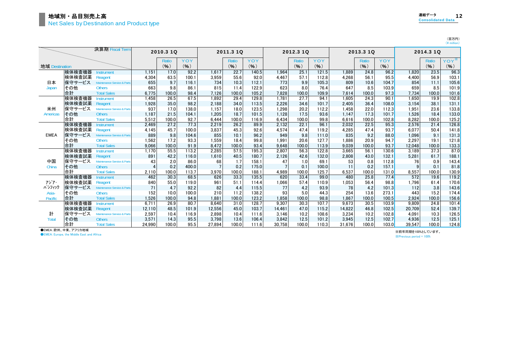(百万円)<br>(¥ million)

|                |        | 決算期 Fiscal Term             |                | 2010.3 1Q |         |        | 2011.3 10    |       |        | 2012.3 10    |       |        | 2013.3 1Q    |       |        | 2014.3 1Q |         |
|----------------|--------|-----------------------------|----------------|-----------|---------|--------|--------------|-------|--------|--------------|-------|--------|--------------|-------|--------|-----------|---------|
|                |        |                             |                | Ratio     | YOY     |        | <b>Ratio</b> | YOY   |        | <b>Ratio</b> | YOY   |        | <b>Ratio</b> | YOY   |        | Ratio     | $YOY^*$ |
| 地域 Destination |        |                             |                | (9)       | $(\% )$ |        | (%)          | (%)   |        | (%)          | (9)   |        | (9)          | (%)   |        | (%)       | $(\% )$ |
|                | 検体検査機器 | Instrument                  | 1.151          | 17.0      | 92.2    | 1.617  | 22.7         | 140.5 | 1.964  | 25.1         | 121.5 | 1.889  | 24.8         | 96.2  | 1.820  | 23.5      | 96.3    |
|                | 検体検査試薬 | Reagent                     | 4.304          | 63.5      | 100.1   | 3,959  | 55.6         | 92.0  | 4.467  | 57.1         | 112.8 | 4.268  | 56.1         | 95.5  | 4.400  | 56.9      | 103.1   |
| 日本             | 保守サービス | Maintenance Service & Parts | 655            | 9.7       | 116.1   | 734    | 10.3         | 112.1 | 773    | 9.9          | 105.3 | 809    | 10.6         | 104.7 | 854    | 11.1      | 105.6   |
| Japan          | その他    | <b>Others</b>               | 663            | 9.8       | 86.1    | 815    | 11.4         | 122.9 | 623    | 8.0          | 76.4  | 647    | 8.5          | 103.9 | 659    | 8.5       | 101.9   |
|                | 合計     | <b>Total Sales</b>          | 6.775          | 100.0     | 98.4    | 7.126  | 100.0        | 105.2 | 7.828  | 100.0        | 109.9 | 7.614  | 100.0        | 97.3  | 7.734  | 100.0     | 101.6   |
|                | 検体検査機器 | <b>Instrument</b>           | 1.458          | 26.5      | 67.5    | 1.892  | 29.4         | 129.8 | 1.781  | 27.7         | 94.1  | 1.605  | 24.3         | 90.1  | 1.650  | 19.9      | 102.8   |
|                | 検体検査試薬 | Reagent                     | 1,928          | 35.0      | 98.2    | 2.188  | 34.0         | 113.5 | 2,226  | 34.6         | 101.7 | 2.405  | 36.4         | 108.0 | 3,154  | 38.1      | 131.1   |
| 米州             | 保守サービス | Maintenance Service & Parts | 937            | 17.0      | 138.0   | 1.157  | 18.0         | 123.5 | 1,298  | 20.2         | 112.2 | 1.458  | 22.0         | 112.3 | 1.951  | 23.6      | 133.8   |
| Americas       | その他    | <b>Others</b>               | 1.187          | 21.5      | 104.1   | 1.205  | 18.7         | 101.5 | 1.128  | 17.5         | 93.6  | 1.147  | 17.3         | 101.7 | 1.526  | 18.4      | 133.0   |
|                | 合計     | <b>Total Sales</b>          | 5.512          | 100.0     | 92.7    | 6.444  | 100.0        | 116.9 | 6.434  | 100.0        | 99.8  | 6.616  | 100.0        | 102.8 | 8.282  | 100.0     | 125.2   |
|                | 検体検査機器 | <b>Instrument</b>           | 2.469          | 27.2      | 77.3    | 2,219  | 26.2         | 89.9  | 2.132  | 22.1         | 96.1  | 2.032  | 22.5         | 95.3  | 2,576  | 21.4      | 126.8   |
|                | 検体検査試薬 | Reagent                     | 4.145          | 45.7      | 100.0   | 3.837  | 45.3         | 92.6  | 4.574  | 47.4         | 119.2 | 4.285  | 47.4         | 93.7  | 6.077  | 50.4      | 141.8   |
| <b>EMEA</b>    | 保守サービス | Maintenance Service & Parts | 889            | 9.8       | 104.6   | 855    | 10.1         | 96.2  | 949    | 9.8          | 111.0 | 835    | 9.2          | 88.0  | 1,096  | 9.1       | 131.3   |
|                | その他    | <b>Others</b>               | 1,562          | 17.2      | 93.3    | 1.559  | 18.4         | 99.8  | 1.991  | 20.6         | 127.7 | 1.886  | 20.9         | 94.7  | 2,297  | 19.1      | 121.8   |
|                | 合計     | <b>Total Sales</b>          | 9.066          | 100.0     | 91.9    | 8.472  | 100.0        | 93.4  | 9.648  | 100.0        | 113.9 | 9.039  | 100.0        | 93.7  | 12.048 | 100.0     | 133.3   |
|                | 検体検査機器 | <b>Instrument</b>           | 1.170          | 55.5      | 113.2   | 2.285  | 57.5         | 195.3 | 2.807  | 56.3         | 122.8 | 3.665  | 56.1         | 130.6 | 3.189  | 37.3      | 87.0    |
|                | 検体検査試薬 | Reagent                     | 891            | 42.2      | 116.0   | 1.610  | 40.5         | 180.7 | 2.126  | 42.6         | 132.0 | 2.808  | 43.0         | 132.1 | 5,281  | 61.7      | 188.1   |
| 中国             | 保守サービス | Maintenance Service & Parts | 43             | 2.0       | 86.0    | 68     | 1.7          | 158.1 | 47     | 1.0          | 69.1  | 53     | 0.8          | 112.8 | 76     | 0.9       | 143.4   |
| China          | その他    | <b>Others</b>               | $\overline{A}$ | 0.2       | 400.0   |        | 0.2          | 175.0 |        | 0.1          | 100.0 | 11     | 0.2          | 157.1 | 9      | 0.1       | 81.8    |
|                | 合計     | <b>Total Sales</b>          | 2.110          | 100.0     | 113.7   | 3.970  | 100.0        | 188.1 | 4.989  | 100.0        | 125.7 | 6.537  | 100.0        | 131.0 | 8.557  | 100.0     | 130.9   |
|                | 検体検査機器 | <b>Instrument</b>           | 462            | 30.3      | 68.5    | 626    | 33.3         | 135.5 | 620    | 33.4         | 99.0  | 480    | 25.8         | 77.4  | 572    | 19.6      | 119.2   |
| アジア・           | 検体検査試薬 | Reagent                     | 840            | 55.0      | 119.0   | 961    | 51.1         | 114.4 | 1,066  | 57.4         | 110.9 | 1.053  | 56.4         | 98.8  | 1,796  | 61.4      | 170.6   |
| パシフィック         | 保守サービス | Maintenance Service & Parts | 71             | 4.7       | 92.2    | 82     | 4.4          | 115.5 | 77     | 4.2          | 93.9  | 78     | 4.2          | 101.3 | 112    | 3.8       | 143.6   |
| Asia-          | その他    | Others                      | 152            | 10.0      | 100.0   | 210    | 11.2         | 138.2 | 93     | 5.0          | 44.3  | 254    | 13.6         | 273.1 | 443    | 15.2      | 174.4   |
| <b>Pacific</b> | 合計     | <b>Total Sales</b>          | 1.526          | 100.0     | 94.8    | 1.881  | 100.0        | 123.2 | 1.858  | 100.0        | 98.8  | 1.867  | 100.0        | 100.5 | 2.924  | 100.0     | 156.6   |
|                | 検体検査機器 | <b>Instrument</b>           | 6.711          | 26.9      | 80.7    | 8.640  | 31.0         | 128.7 | 9.307  | 30.3         | 107.7 | 9.673  | 30.5         | 103.9 | 9.809  | 24.8      | 101.4   |
|                | 検体検査試薬 | Reagent                     | 12.110         | 48.5      | 101.9   | 12.556 | 45.0         | 103.7 | 14.461 | 47.0         | 115.2 | 14.822 | 46.8         | 102.5 | 20,709 | 52.4      | 139.7   |
| 計              | 保守サービス | Maintenance Service & Parts | 2.597          | 10.4      | 116.9   | 2.898  | 10.4         | 111.6 | 3.146  | 10.2         | 108.6 | 3.234  | 10.2         | 102.8 | 4.091  | 10.3      | 126.5   |
| Total          | その他    | <b>Others</b>               | 3,571          | 14.3      | 95.5    | 3,798  | 13.6         | 106.4 | 3,842  | 12.5         | 101.2 | 3.945  | 12.5         | 102.7 | 4,936  | 12.5      | 125.1   |
|                | 合計     | <b>Total Sales</b>          | 24.990         | 100.0     | 95.5    | 27.894 | 100.0        | 111.6 | 30.758 | 100.0        | 110.3 | 31.676 | 100.0        | 103.0 | 39.547 | 100.0     | 124.8   |

●EMEA:欧州、中東、アフリカ地域

**OEMEA: Europe, the Middle East and Africa** 

※前年同期を100%としています。 ※Previous period = 100%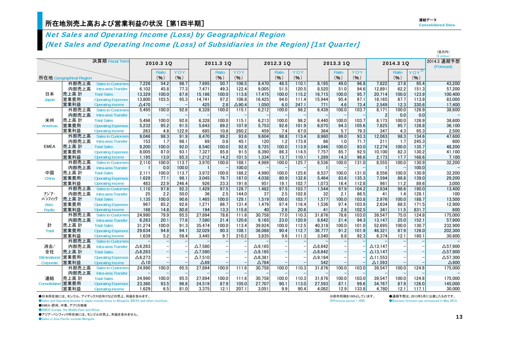# Net Sales and Operating Income (Loss) by Geographical Region (Net Sales and Operating Income (Loss) of Subsidiaries in the Region) [1st Quarter]

|                |                         |                           |                 |           |       |                |                          |                  |                 |           |       |                   |           |       |                 |           |         | (¥ million)               |
|----------------|-------------------------|---------------------------|-----------------|-----------|-------|----------------|--------------------------|------------------|-----------------|-----------|-------|-------------------|-----------|-------|-----------------|-----------|---------|---------------------------|
|                |                         | 決算期 Fiscal Term           |                 | 2010.3 1Q |       |                | 2011.3 1Q                |                  |                 | 2012.3 1Q |       |                   | 2013.3 1Q |       |                 | 2014.3 1Q |         | 2014.3 通期予想<br>(Forecast) |
|                |                         |                           |                 | Ratio     | YOY   |                | Ratio                    | YOY              |                 | Ratio     | YOY   |                   | Ratio     | YOY   |                 | Ratio     | $YOY^*$ |                           |
|                | 所在地 Geographical Region |                           |                 | (%)       | (%)   |                | (%)                      | (%)              |                 | (9)       | (%)   |                   | (%)       | (%)   |                 | (%)       | (%)     |                           |
|                | 外部売上高                   | <b>Sales to Customers</b> | 7,226           | 54.2      | 98.7  | 7.695          | 50.7                     | 106.5            | 8.470           | 48.5      | 110.1 | 8.195             | 49.0      | 96.8  | 7.822           | 37.8      | 95.4    | 43,200                    |
|                | 内部売上高                   | Intra-area Transfer       | 6.102           | 45.8      | 77.3  | 7.471          | 49.3                     | 122.4            | 9.005           | 51.5      | 120.5 | 8.520             | 51.0      | 94.6  | 12.891          | 62.2      | 151.3   | 57,200                    |
| 日本             | 売上高 計                   | <b>Total Sales</b>        | 13,329          | 100.0     | 87.6  | 15,166         | 100.0                    | 113.8            | 17,475          | 100.0     | 115.2 | 16,715            | 100.0     | 95.7  | 20,714          | 100.0     | 123.9   | 100,400                   |
| Japan          | 営業費用                    | <b>Operating Expenses</b> | 13,800          | 103.5     | 95.3  | 14,741         | 97.2                     | 106.8            | 16,425          | 94.0      | 111.4 | 15,944            | 95.4      | 97.1  | 18,165          | 87.7      | 113.9   | 83,000                    |
|                | 営業利益                    | <b>Operating Income</b>   | $\triangle$ 470 |           |       | 425            | 2.8                      | $\triangle$ 90.4 | 1.050           | 6.0       | 247.1 | 771               | 4.6       | 73.4  | 2.549           | 12.3      | 330.6   | 17,400                    |
|                | 外部売上高                   | <b>Sales to Customers</b> | 5.495           | 100.0     | 92.6  | 6.328          | 100.0                    | 115.1            | 6.212           | 100.0     | 98.2  | 6.439             | 100.0     | 103.7 | 8.171           | 100.0     | 126.9   | 38,600                    |
|                | 内部売上高                   | Intra-area Transfer       |                 |           |       |                |                          |                  |                 |           |       |                   |           |       | $\overline{2}$  | 0.0       | 0.0     |                           |
| 米州             | 売上高 計                   | <b>Total Sales</b>        | 5.496           | 100.0     | 92.6  | 6.328          | 100.0                    | 115.1            | 6.213           | 100.0     | 98.2  | 6.440             | 100.0     | 103.7 | 8.173           | 100.0     | 126.9   | 38,600                    |
| Americas       | 営業費用                    | <b>Operating Expenses</b> | 5,232           | 95.2      | 91.5  | 5,643          | 89.2                     | 107.9            | 5,753           | 92.6      | 101.9 | 6,075             | 94.3      | 105.6 | 7,825           | 95.7      | 128.8   | 36,100                    |
|                | 営業利益                    | <b>Operating Income</b>   | 263             | 4.8       | 122.9 | 685            | 10.8                     | 260.2            | 459             | 7.4       | 67.0  | 364               | 5.7       | 79.3  | 347             | 4.3       | 95.3    | 2,500                     |
|                | 外部売上高                   | <b>Sales to Customers</b> | 9,046           | 98.3      | 91.9  | 8.470          | 99.2                     | 93.6             | 9.604           | 98.8      | 113.4 | 8,960             | 99.0      | 93.3  | 12.063          | 98.3      | 134.6   | 47,600                    |
|                | 内部売上高                   | Intra-area Transfer       | 153             | 1.7       | 98.1  | 69             | 0.8                      | 45.1             | 120             | 1.2       | 173.9 | 86                | 1.0       | 71.7  | 211             | 1.7       | 245.3   | 600                       |
| <b>EMEA</b>    | 売上高 計                   | <b>Total Sales</b>        | 9,200           | 100.0     | 92.0  | 8.540          | 100.0                    | 92.8             | 9,725           | 100.0     | 113.9 | 9.046             | 100.0     | 93.0  | 12,274          | 100.0     | 135.7   | 48,200                    |
|                | 営業費用                    | <b>Operating Expenses</b> | 8,005           | 87.0      | 93.1  | 7,327          | 85.8                     | 91.5             | 8.390           | 86.3      | 114.5 | 7.757             | 85.7      | 92.5  | 10.100          | 82.3      | 130.2   | 41,100                    |
|                | 営業利益                    | Operating Income          | 1,195           | 13.0      | 85.3  | 1,212          | 14.2                     | 101.5            | 1,334           | 13.7      | 110.1 | 1,289             | 14.3      | 96.6  | 2,173           | 17.7      | 168.6   | 7,100                     |
|                | 外部売上高                   | <b>Sales to Customers</b> | 2.110           | 100.0     | 113.7 | 3.970          | 100.0                    | 188.1            | 4.989           | 100.0     | 125.7 | 6,536             | 100.0     | 131.0 | 8,555           | 100.0     | 130.9   | 32,200                    |
|                | 内部売上高                   | Intra-area Transfer       |                 | 0.0       | 100.0 |                |                          | 100.0            |                 |           |       |                   |           |       |                 |           | 100.0   |                           |
| 中国             | 売上高 計                   | <b>Total Sales</b>        | 2,111           | 100.0     | 113.7 | 3.972          | 100.0                    | 188.2            | 4.990           | 100.0     | 125.6 | 6,537             | 100.0     | 131.0 | 8.556           | 100.0     | 130.9   | 32,200                    |
| China          | 営業費用                    | <b>Operating Expenses</b> | 1,628           | 77.1      | 98.1  | 3,045          | 76.7                     | 187.0            | 4,038           | 80.9      | 132.6 | 5,464             | 83.6      | 135.3 | 7,594           | 88.8      | 139.0   | 29,200                    |
|                | 営業利益                    | <b>Operating Income</b>   | 483             | 22.9      | 246.4 | 926            | 23.3                     | 191.6            | 951             | 19.1      | 102.7 | 1,073             | 16.4      | 112.8 | 961             | 11.2      | 89.6    | 3,000                     |
|                | 外部売上高                   | <b>Sales to Customers</b> | 1.110           | 97.8      | 92.3  | 1,429          | 97.5                     | 128.7            | 1,482           | 97.5      | 103.7 | 1,544             | 97.9      | 104.2 | 2.934           | 98.6      | 190.0   | 13,400                    |
| アジア・           | 内部売上高                   | Intra-area Transfer       | 25              | 2.2       | 50.0  | 36             | 2.5                      | 144.0            | 37              | 2.5       | 102.8 | 32                | 2.1       | 86.5  | 41              | 1.4       | 128.1   | 100                       |
| パシフィック         | 売上高 計                   | <b>Total Sales</b>        | 1,135           | 100.0     | 90.6  | 1.465          | 100.0                    | 129.1            | 1,519           | 100.0     | 103.7 | 1,577             | 100.0     | 103.8 | 2.976           | 100.0     | 188.7   | 13,500                    |
| Asia-          | 営業費用                    | <b>Operating Expenses</b> | 967             | 85.2      | 92.6  | 1,271          | 86.7                     | 131.4            | 1.479           | 97.4      | 116.4 | 1,536             | 97.4      | 103.9 | 2,634           | 88.5      | 171.5   | 12,900                    |
| <b>Pacific</b> | 営業利益                    | Operating Income          | 168             | 14.8      | 80.8  | 194            | 13.3                     | 115.6            | 40              | 2.6       | 20.6  | 41                | 2.6       | 102.5 | 341             | 11.5      | 831.7   | 600                       |
|                | 外部売上高                   | <b>Sales to Customers</b> | 24,990          | 79.9      | 95.5  | 27,894         | 78.6                     | 111.6            | 30,758          | 77.0      | 110.3 | 31,676            | 78.6      | 103.0 | 39,547          | 75.0      | 124.8   | 175,000                   |
|                | 内部売上高                   | Intra-area Transfer       | 6,283           | 20.1      | 77.6  | 7,580          | 21.4                     | 120.6            | 9.165           | 23.0      | 120.9 | 8.642             | 21.4      | 94.3  | 13.147          | 25.0      | 152.1   | 57.900                    |
| 計              | 売上高 計                   | <b>Total Sales</b>        | 31,274          | 100.0     | 91.3  | 35,474         | 100.0                    | 113.4            | 39.924          | 100.0     | 112.5 | 40,318            | 100.0     | 101.0 | 52.695          | 100.0     | 130.7   | 232,900                   |
| <b>Total</b>   | 営業費用                    | <b>Operating Expenses</b> | 29,634          | 94.8      | 94.1  | 32,029         | 90.3                     | 108.1            | 36.088          | 90.4      | 112.7 | 36,777            | 91.2      | 101.9 | 46,321          | 87.9      | 126.0   | 202,300                   |
|                | 営業利益                    | <b>Operating Income</b>   | 1.639           | 5.2       | 59.4  | 3,445          | 9.7                      | 210.2            | 3.835           | 9.6       | 111.3 | 3,540             | 8.8       | 92.3  | 6,374           | 12.1      | 180.1   | 30,600                    |
|                | 外部売上高                   | <b>Sales to Customers</b> |                 |           |       |                |                          |                  |                 |           |       |                   |           |       |                 |           |         |                           |
| 消去/            | 内部売上高                   | Intra-area Transfer       | $\Delta$ 6,283  |           |       | $\Delta$ 7.580 |                          |                  | $\Delta$ 9.165  |           |       | $\Delta$ 8.642    |           |       | $\Delta$ 13.147 |           |         | $\Delta$ 57,900           |
| 全社             | 売上高 計                   | <b>Total Sales</b>        | $\Delta$ 6,283  |           |       | $\Delta$ 7,580 | $\overline{\phantom{0}}$ |                  | $\Delta$ 9.165  |           |       | $\triangle$ 8.642 |           |       | $\Delta$ 13.147 |           |         | $\Delta$ 57,900           |
| Eliminations/  | 営業費用                    | <b>Operating Expenses</b> | $\Delta$ 6,273  |           |       | $\Delta$ 7,510 |                          |                  | $\Delta$ 8,381  |           |       | $\Delta$ 9,184    |           |       | $\Delta$ 11,553 |           |         | $\Delta$ 57,300           |
| Corporate      | 営業利益                    | <b>Operating Income</b>   | $\Delta$ 10     |           |       | $\triangle 69$ |                          |                  | $\triangle$ 784 |           |       | 542               |           |       | $\Delta$ 1,593  |           |         | $\triangle$ 600           |
|                | 外部売上高                   | <b>Sales to Customers</b> | 24,990          | 100.0     | 95.5  | 27,894         | 100.0                    | 111.6            | 30.758          | 100.0     | 110.3 | 31.676            | 100.0     | 103.0 | 39,547          | 100.0     | 124.8   | 175,000                   |
|                | 内部売上高                   | Intra-area Transfer       |                 |           |       |                |                          |                  |                 |           |       |                   |           |       |                 |           |         |                           |
| 連結             | 売上高 計                   | <b>Total Sales</b>        | 24,990          | 100.0     | 95.5  | 27,894         | 100.0                    | 111.6            | 30.758          | 100.0     | 110.3 | 31.676            | 100.0     | 103.0 | 39.547          | 100.0     | 124.8   | 175,000                   |
| Consolidated   | 営業費用                    | <b>Operating Expenses</b> | 23,360          | 93.5      | 96.8  | 24,519         | 87.9                     | 105.0            | 27,707          | 90.1      | 113.0 | 27,593            | 87.1      | 99.6  | 34,767          | 87.9      | 126.0   | 145,000                   |
|                | 営業利益                    | <b>Operating Income</b>   | 1,629           | 6.5       | 81.0  | 3.375          | 12.1                     | 207.1            | 3.051           | 9.9       | 90.4  | 4.082             | 12.9      | 133.8 | 4.780           | 12.1      | 117.1   | 30,000                    |

●日本所在地には、モンゴル、アイデックス社向けなどの売上、利益を含みます。

●Sales and Operating Income in Japan include those to Mongolia, IDEXX and other countries.

●EMEA:欧州、中東、アフリカ地域

**OEMEA: Europe, the Middle East and Africa** 

●アジア・パシフィック所在地には、モンゴルの売上、利益を含みません。

● Sales in Asia Pacific exclude Mongolia.

※前年同期を100%としています。 ●通期予想は、2013年5月に公表したものです。

 $\&$  Previous period = 100%  $\bullet$  Business forecast was announced in May 2013.

(百万円)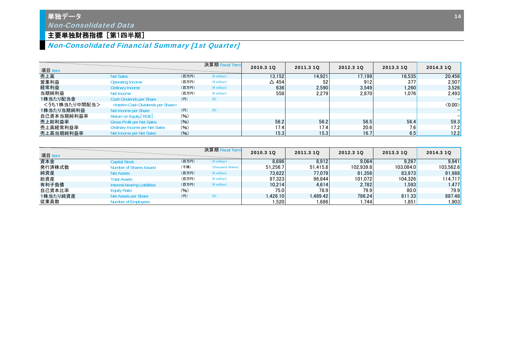## 単独データ Non-Consolidated Data

## 主要単独財務指標 [第1四半期]

# Non-Consolidated Financial Summary [1st Quarter]

| 項目 Item       |                                                          |       | 決算期 Fiscal Term | 2010.3 10       | 2011.3 10 | 2012.3 10 | 2013.3 10 | 2014.3 10              |
|---------------|----------------------------------------------------------|-------|-----------------|-----------------|-----------|-----------|-----------|------------------------|
| 売上高           | <b>Net Sales</b>                                         | (百万円) | $(*$ million)   | 13.152          | 14.921    | 17.199    | 16.535    | 20,456                 |
| 営業利益          | <b>Operating Income</b>                                  | (百万円) | $(*$ million)   | $\triangle$ 454 | 52        | 912       | 377       | 2,507                  |
| 経常利益          | Ordinary Income                                          | (百万円) | $(*$ million)   | 636             | 2.590     | 3.549     | 1.260     | 3,526                  |
| 当期純利益         | Net Income                                               | (百万円) | $(*$ million)   | 558             | 2.279     | 2.870     | 1.0761    | 2,493                  |
| 1株当たり配当金      | Cash Divdends per Share                                  | (H)   | $(\yen)$        |                 |           |           |           |                        |
| <うち1株当たり中間配当> | <interim cash="" dividends="" per="" share=""></interim> |       |                 |                 |           |           |           | $\langle 0.00 \rangle$ |
| 1株当たり当期純利益    | Net Income per Share                                     | (H)   | $(\yen)$        |                 |           |           |           |                        |
| 自己資本当期純利益率    | Return on Equity [ROE]                                   | (96)  |                 |                 |           |           |           |                        |
| 売上総利益率        | <b>Gross Profit per Net Sales</b>                        | (96)  |                 | 56.2            | 56.2      | 56.5      | 56.4      | 59.3                   |
| 売上高経常利益率      | <b>Ordinary Income per Net Sales</b>                     | (9/6) |                 | 17.4            | 17.4      | 20.6      | 7.6       | 17.2                   |
| 売上高当期純利益率     | Net Income per Net Sales                                 | (96)  |                 | 15.3            | 15.3      | 16.7      | 6.5       | 12.2                   |

| 項目 Item  |                                     |       | 決算期 Fiscal Term   | 2010.3 10 | 2011.3 10 | 2012.3 10 | 2013.3 10 | 2014.3 10         |
|----------|-------------------------------------|-------|-------------------|-----------|-----------|-----------|-----------|-------------------|
| 資本金      | <b>Capital Stock</b>                | (百万円) | $(Y$ million)     | 8.696     | 8.912     | 9.064     | 9.267     | 9.941             |
| 発行済株式数   | Number of Shares Issued             | (千株)  | (thousand shares) | 51.256.7  | 51.415.8  | 102.939.8 | 103.084.0 | 103.562.6         |
| 純資産      | <b>Net Assets</b>                   | (百万円) | $(*$ million)     | 73.622    | 77.079    | 81.356    | 83.973    | 91,988            |
| 総資産      | <b>Total Assets</b>                 | (百万円) | $(*$ million)     | 97.323    | 96.844    | 101.072   | 104.326   | 114.717           |
| 有利子負債    | <b>Interest-bearing Liabilities</b> | (百万円) | $(*$ million)     | 10.214    | 4.614     | 2,782     | 1.593     | 1.477 $\mathsf I$ |
| 自己資本比率   | <b>Equity Ratio</b>                 | (96)  |                   | 75.0      | 78.9      | 79.9      | 80.0      | 79.9              |
| 1株当たり純資産 | Net Assets per Share                | (円)   | $(*)$             | 1.426.10  | .489.42   | 786.24    | 811.33    | 887.48            |
| 従業員数     | <b>Number of Employees</b>          |       |                   | . 520     | ⊺686.،    | .744      | 1,851     | .903              |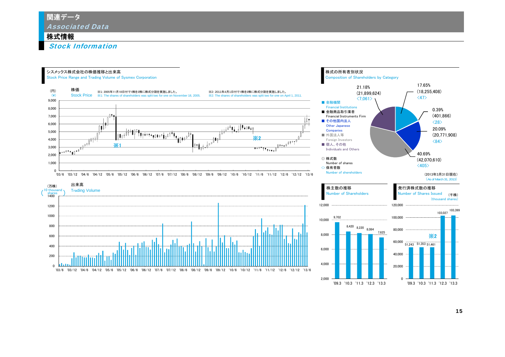## 株式情報

Stock Information

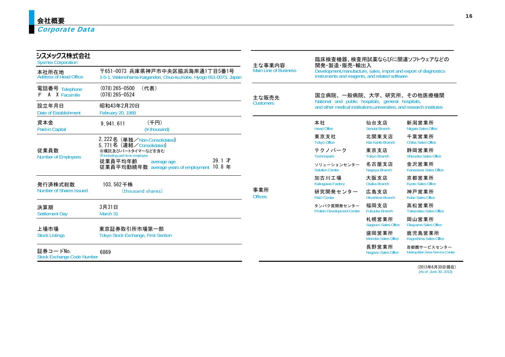| シスメックス株式会社<br><b>Sysmex Corporation</b>       |                                                                                                       | 主な事業内容                       | 開発·製造·販売·輸出入                                                                                                               |                                      | 臨床検査機器、検査用試薬ならびに関連ソフトウェアなどの                     |  |  |  |
|-----------------------------------------------|-------------------------------------------------------------------------------------------------------|------------------------------|----------------------------------------------------------------------------------------------------------------------------|--------------------------------------|-------------------------------------------------|--|--|--|
| 本社所在地<br>Address of Head Office               | 〒651-0073 兵庫県神戸市中央区脇浜海岸通1丁目5番1号<br>1-5-1, Wakinohama-Kaigandori, Chuo-ku, Kobe, Hyogo 651-0073, Japan | <b>Main Line of Business</b> | Development, manufacture, sales, import and export of diagnostics instruments and reagents, and related software           |                                      |                                                 |  |  |  |
| 電話番号 Telephone<br>A X Facsimile<br>F          | $(078)$ 265-0500<br>(代表)<br>$(078)$ 265-0524                                                          | 主な販売先                        | 国立病院、一般病院、大学、研究所、その他医療機関                                                                                                   |                                      |                                                 |  |  |  |
| 設立年月日<br>Date of Establishment                | 昭和43年2月20日<br>February 20, 1968                                                                       | <b>Customers</b>             | National and public hospitals, general hospitals,<br>and other medical institutions, universities, and research institutes |                                      |                                                 |  |  |  |
| 資本金<br>Paid-in Capital                        | (千円)<br>9.941.611<br>(¥ thousand)                                                                     |                              | 本社<br><b>Head Office</b>                                                                                                   | 仙台支店<br>Sendai Branch                | 新潟営業所<br>Niigata Sales Office                   |  |  |  |
|                                               | 2,222名 (単独/Non-Consolidated)<br>5.771名 (連結/Consolidated)                                              |                              | 東京支社<br><b>Tokyo Office</b>                                                                                                | 北関東支店<br>Kita Kanto Branch           | 千葉営業所<br>Chiba Sales Office                     |  |  |  |
| 従業員数<br><b>Number of Employees</b>            | ※嘱託及びパートタイマーなどを含む<br><b>XIncluding part-time employee</b>                                             |                              | テクノパーク<br>Technopark                                                                                                       | 東京支店<br><b>Tokyo Branch</b>          | 静岡営業所<br><b>Shizuoka Sales Office</b>           |  |  |  |
|                                               | 39.1 才<br>従業員平均年齢<br>average age<br>10.8 年<br>従業員平均勤続年数 average years of employment                   |                              | ソリューションセンター<br><b>Solution Center</b>                                                                                      | 名古屋支店<br>Nagoya Branch               | 金沢営業所<br>Kanazawa Sales Office                  |  |  |  |
| 発行済株式総数                                       | 103,562千株                                                                                             |                              | 加古川工場<br>Kakogawa Factory                                                                                                  | 大阪支店<br>Osaka Branch                 | 京都営業所<br><b>Kyoto Sales Office</b>              |  |  |  |
| Number of Shares Issued                       | (thousand shares)                                                                                     | 事業所<br><b>Offices</b>        | 研究開発センター<br><b>R&amp;D Center</b>                                                                                          | 広島支店<br>Hiroshima Branch             | 神戸営業所<br><b>Kobe Sales Office</b>               |  |  |  |
| 決算期<br><b>Settlement Day</b>                  | 3月31日<br>March 31                                                                                     |                              | タンパク質開発センター<br><b>Protein Development Center</b>                                                                           | 福岡支店<br>Fukuoka Branch               | 高松営業所<br><b>Takamatsu Sales Office</b>          |  |  |  |
|                                               |                                                                                                       |                              |                                                                                                                            | 札幌営業所<br><b>Sapporo Sales Office</b> | 岡山営業所<br>Okayama Sales Office                   |  |  |  |
| 上場市場<br><b>Stock Listings</b>                 | 東京証券取引所市場第一部<br><b>Tokyo Stock Exchange, First Section</b>                                            |                              |                                                                                                                            | 盛岡営業所<br>Morioka Sales Office        | 鹿児島営業所<br>Kagoshima Sales Office                |  |  |  |
| 証券コードNo.<br><b>Stock Exchange Code Number</b> | 6869                                                                                                  |                              |                                                                                                                            | 長野営業所<br>Nagano Sales Office         | 首都圏サービスセンター<br>Metropolitan Area Service Center |  |  |  |

(2013年6月30日現在) (As of June 30, 2013)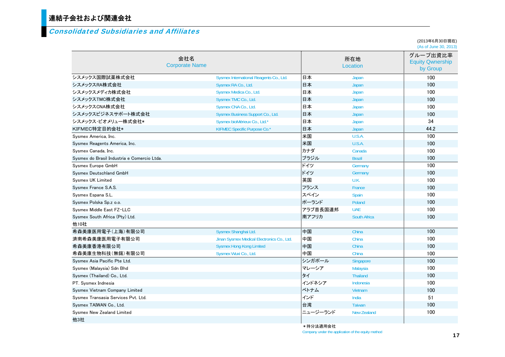# 連結子会社および関連会社

#### Consolidated Subsidiaries and Affiliates

(2013年6月30日現在) (As of June 30, 2013)

|                                             | 会社名<br><b>Corporate Name</b>               |          | 所在地<br>Location     | $(1, 10, 0)$ but to $00, 20, 10$<br>グループ出資比率<br><b>Equity Qwnership</b><br>by Group |
|---------------------------------------------|--------------------------------------------|----------|---------------------|-------------------------------------------------------------------------------------|
| シスメックス国際試薬株式会社                              | Sysmex International Reagents Co., Ltd.    | 日本       | Japan               | 100                                                                                 |
| シスメックスRA株式会社                                | Sysmex RA Co., Ltd.                        | 日本       | Japan               | 100                                                                                 |
| シスメックスメディカ株式会社                              | Sysmex Medica Co., Ltd.                    | 日本       | Japan               | 100                                                                                 |
| シスメックスTMC株式会社                               | Sysmex TMC Co., Ltd.                       | 日本       | Japan               | 100                                                                                 |
| シスメックスCNA株式会社                               | Sysmex CNA Co., Ltd.                       | 日本       | Japan               | 100                                                                                 |
| シスメックスビジネスサポート株式会社                          | Sysmex Business Support Co., Ltd.          | 日本       | Japan               | 100                                                                                 |
| シスメックス・ビオメリュー株式会社*                          | Sysmex bioMérieux Co., Ltd.*               | 日本       | Japan               | 34                                                                                  |
| KIFMEC特定目的会社*                               | KIFMEC Specific Purpose Co.*               | 日本       | Japan               | 44.2                                                                                |
| Sysmex America, Inc.                        |                                            | 米国       | U.S.A.              | 100                                                                                 |
| Sysmex Reagents America, Inc.               |                                            | 米国       | U.S.A.              | 100                                                                                 |
| Sysmex Canada, Inc.                         |                                            | カナダ      | Canada              | 100                                                                                 |
| Sysmex do Brasil Industria e Comercio Ltda. |                                            | ブラジル     | <b>Brazil</b>       | 100                                                                                 |
| Sysmex Europe GmbH                          |                                            | ドイツ      | Germany             | 100                                                                                 |
| Sysmex Deutschland GmbH                     |                                            | ドイツ      | Germany             | 100                                                                                 |
| Sysmex UK Limited                           |                                            | 英国       | U.K.                | 100                                                                                 |
| Sysmex France S.A.S.                        |                                            | フランス     | France              | 100                                                                                 |
| Sysmex Espana S.L.                          |                                            | スペイン     | Spain               | 100                                                                                 |
| Sysmex Polska Sp.z o.o.                     |                                            | ポーランド    | Poland              | 100                                                                                 |
| Sysmex Middle East FZ-LLC                   |                                            | アラブ首長国連邦 | <b>UAE</b>          | 100                                                                                 |
| Sysmex South Africa (Pty) Ltd.              |                                            | 南アフリカ    | <b>South Africa</b> | 100                                                                                 |
| 他10社                                        |                                            |          |                     |                                                                                     |
| 希森美康医用電子(上海)有限公司                            | Sysmex Shanghai Ltd.                       | 中国       | China               | 100                                                                                 |
| 済南希森美康医用電子有限公司                              | Jinan Sysmex Medical Electronics Co., Ltd. | 中国       | China               | 100                                                                                 |
| 希森美康香港有限公司                                  | <b>Sysmex Hong Kong Limited</b>            | 中国       | China               | 100                                                                                 |
| 希森美康生物科技(無錫)有限公司                            | Sysmex Wuxi Co., Ltd.                      | 中国       | China               | 100                                                                                 |
| Sysmex Asia Pacific Pte Ltd.                |                                            | シンガポール   | Singapore           | 100                                                                                 |
| Sysmex (Malaysia) Sdn Bhd                   |                                            | マレーシア    | Malaysia            | 100                                                                                 |
| Sysmex (Thailand) Co., Ltd.                 |                                            | タイ       | <b>Thailand</b>     | 100                                                                                 |
| PT. Sysmex Indnesia                         |                                            | インドネシア   | Indonesia           | 100                                                                                 |
| Sysmex Vietnam Company Limited              |                                            | ベトナム     | Vietnam             | 100                                                                                 |
| Sysmex Transasia Services Pvt. Ltd.         |                                            | インド      | India               | 51                                                                                  |
| Sysmex TAIWAN Co., Ltd.                     |                                            | 台湾       | <b>Taiwan</b>       | 100                                                                                 |
| Sysmex New Zealand Limited                  |                                            | ニュージーランド | <b>New Zealand</b>  | 100                                                                                 |
| 他3社                                         |                                            |          |                     |                                                                                     |
|                                             |                                            | *持分法適用会社 |                     |                                                                                     |

Company under the application of the equity method